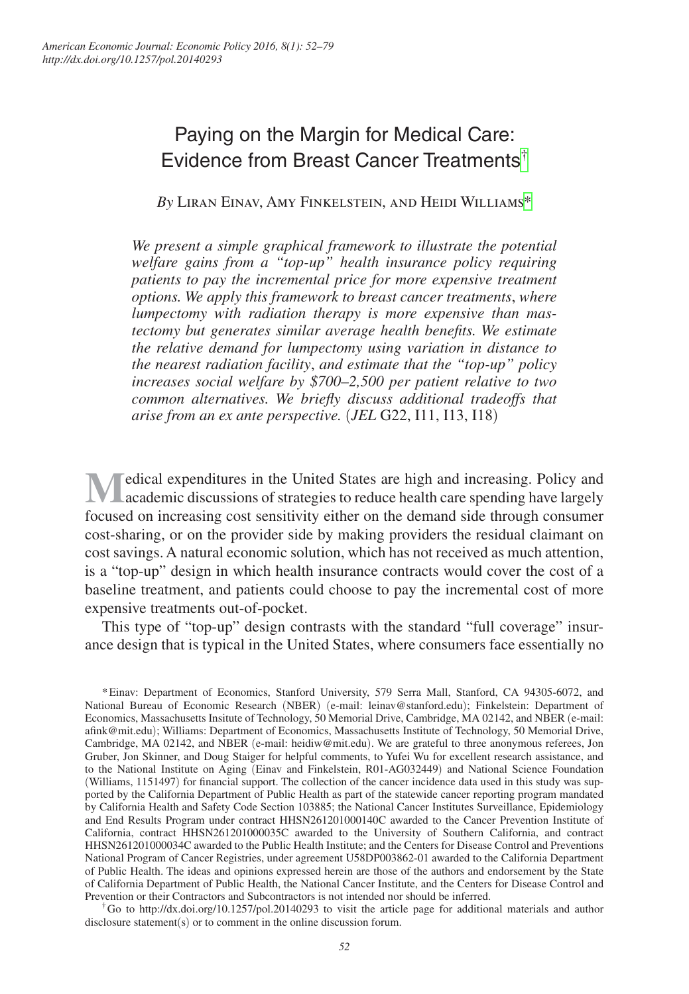# Paying on the Margin for Medical Care: Evidence from Breast Cancer Treatments[†](#page-0-0)

*By* Liran Einav, Amy Finkelstein, and Heidi Williams[\\*](#page-0-1)

*We present a simple graphical framework to illustrate the potential welfare gains from a "top-up" health insurance policy requiring patients to pay the incremental price for more expensive treatment options. We apply this framework to breast cancer treatments*, *where lumpectomy with radiation therapy is more expensive than mastectomy but generates similar average health benefits. We estimate the relative demand for lumpectomy using variation in distance to the nearest radiation facility*, *and estimate that the "top-up" policy increases social welfare by \$700–2,500 per patient relative to two common alternatives. We briefly discuss additional tradeoffs that arise from an ex ante perspective.* (*JEL* G22, I11, I13, I18)

**M**edical expenditures in the United States are high and increasing. Policy and academic discussions of strategies to reduce health care spending have largely focused on increasing cost sensitivity either on the demand side through consumer cost-sharing, or on the provider side by making providers the residual claimant on cost savings. A natural economic solution, which has not received as much attention, is a "top-up" design in which health insurance contracts would cover the cost of a baseline treatment, and patients could choose to pay the incremental cost of more expensive treatments out-of-pocket.

This type of "top-up" design contrasts with the standard "full coverage" insurance design that is typical in the United States, where consumers face essentially no

<span id="page-0-1"></span>\*Einav: Department of Economics, Stanford University, 579 Serra Mall, Stanford, CA 94305-6072, and National Bureau of Economic Research (NBER) (e-mail: leinav@stanford.edu); Finkelstein: Department of Economics, Massachusetts Insitute of Technology, 50 Memorial Drive, Cambridge, MA 02142, and NBER (e-mail: afink@mit.edu); Williams: Department of Economics, Massachusetts Institute of Technology, 50 Memorial Drive, Cambridge, MA 02142, and NBER (e-mail: heidiw@mit.edu). We are grateful to three anonymous referees, Jon Gruber, Jon Skinner, and Doug Staiger for helpful comments, to Yufei Wu for excellent research assistance, and to the National Institute on Aging (Einav and Finkelstein, R01-AG032449) and National Science Foundation (Williams, 1151497) for financial support. The collection of the cancer incidence data used in this study was supported by the California Department of Public Health as part of the statewide cancer reporting program mandated by California Health and Safety Code Section 103885; the National Cancer Institutes Surveillance, Epidemiology and End Results Program under contract HHSN261201000140C awarded to the Cancer Prevention Institute of California, contract HHSN261201000035C awarded to the University of Southern California, and contract HHSN261201000034C awarded to the Public Health Institute; and the Centers for Disease Control and Preventions National Program of Cancer Registries, under agreement U58DP003862-01 awarded to the California Department of Public Health. The ideas and opinions expressed herein are those of the authors and endorsement by the State of California Department of Public Health, the National Cancer Institute, and the Centers for Disease Control and Prevention or their Contractors and Subcontractors is not intended nor should be inferred.

<span id="page-0-0"></span>†Go to http://dx.doi.org/10.1257/pol.20140293 to visit the article page for additional materials and author disclosure statement(s) or to comment in the online discussion forum.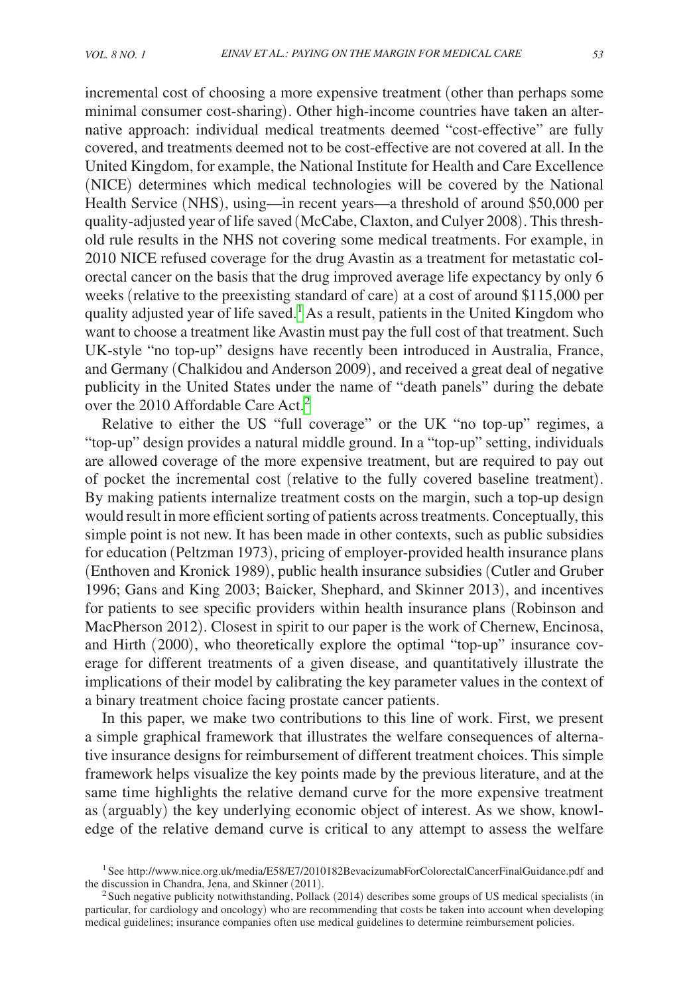incremental cost of choosing a more expensive treatment (other than perhaps some minimal consumer cost-sharing). Other high-income countries have taken an alternative approach: individual medical treatments deemed "cost-effective" are fully covered, and treatments deemed not to be cost-effective are not covered at all. In the United Kingdom, for example, the National Institute for Health and Care Excellence (NICE) determines which medical technologies will be covered by the National Health Service (NHS), using—in recent years—a threshold of around \$50,000 per quality-adjusted year of life saved (McCabe, Claxton, and Culyer 2008). This threshold rule results in the NHS not covering some medical treatments. For example, in 2010 NICE refused coverage for the drug Avastin as a treatment for metastatic colorectal cancer on the basis that the drug improved average life expectancy by only 6 weeks (relative to the preexisting standard of care) at a cost of around \$115,000 per quality adjusted year of life saved.<sup>1</sup> As a result, patients in the United Kingdom who want to choose a treatment like Avastin must pay the full cost of that treatment. Such UK-style "no top-up" designs have recently been introduced in Australia, France, and Germany (Chalkidou and Anderson 2009), and received a great deal of negative publicity in the United States under the name of "death panels" during the debate over the [2](#page-1-1)010 Affordable Care Act.<sup>2</sup>

Relative to either the US "full coverage" or the UK "no top-up" regimes, a "top-up" design provides a natural middle ground. In a "top-up" setting, individuals are allowed coverage of the more expensive treatment, but are required to pay out of pocket the incremental cost (relative to the fully covered baseline treatment). By making patients internalize treatment costs on the margin, such a top-up design would result in more efficient sorting of patients across treatments. Conceptually, this simple point is not new. It has been made in other contexts, such as public subsidies for education (Peltzman 1973), pricing of employer-provided health insurance plans (Enthoven and Kronick 1989), public health insurance subsidies (Cutler and Gruber 1996; Gans and King 2003; Baicker, Shephard, and Skinner 2013), and incentives for patients to see specific providers within health insurance plans (Robinson and MacPherson 2012). Closest in spirit to our paper is the work of Chernew, Encinosa, and Hirth (2000), who theoretically explore the optimal "top-up" insurance coverage for different treatments of a given disease, and quantitatively illustrate the implications of their model by calibrating the key parameter values in the context of a binary treatment choice facing prostate cancer patients.

In this paper, we make two contributions to this line of work. First, we present a simple graphical framework that illustrates the welfare consequences of alternative insurance designs for reimbursement of different treatment choices. This simple framework helps visualize the key points made by the previous literature, and at the same time highlights the relative demand curve for the more expensive treatment as (arguably) the key underlying economic object of interest. As we show, knowledge of the relative demand curve is critical to any attempt to assess the welfare

<span id="page-1-0"></span><sup>&</sup>lt;sup>1</sup>See http://www.nice.org.uk/media/E58/E7/2010182BevacizumabForColorectalCancerFinalGuidance.pdf and the discussion in Chandra, Jena, and Skinner (2011).

<span id="page-1-1"></span><sup>&</sup>lt;sup>2</sup> Such negative publicity notwithstanding, Pollack (2014) describes some groups of US medical specialists (in particular, for cardiology and oncology) who are recommending that costs be taken into account when developing medical guidelines; insurance companies often use medical guidelines to determine reimbursement policies.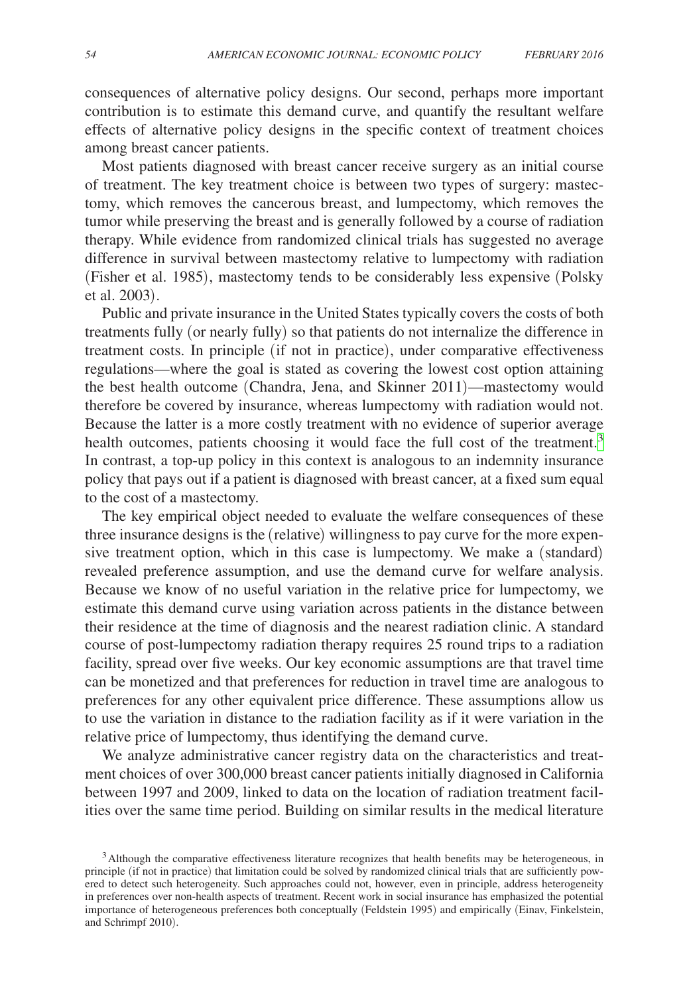consequences of alternative policy designs. Our second, perhaps more important contribution is to estimate this demand curve, and quantify the resultant welfare effects of alternative policy designs in the specific context of treatment choices among breast cancer patients.

Most patients diagnosed with breast cancer receive surgery as an initial course of treatment. The key treatment choice is between two types of surgery: mastectomy, which removes the cancerous breast, and lumpectomy, which removes the tumor while preserving the breast and is generally followed by a course of radiation therapy. While evidence from randomized clinical trials has suggested no average difference in survival between mastectomy relative to lumpectomy with radiation (Fisher et al. 1985), mastectomy tends to be considerably less expensive (Polsky et al. 2003).

Public and private insurance in the United States typically covers the costs of both treatments fully (or nearly fully) so that patients do not internalize the difference in treatment costs. In principle (if not in practice), under comparative effectiveness regulations—where the goal is stated as covering the lowest cost option attaining the best health outcome (Chandra, Jena, and Skinner 2011)—mastectomy would therefore be covered by insurance, whereas lumpectomy with radiation would not. Because the latter is a more costly treatment with no evidence of superior average health outcomes, patients choosing it would face the full cost of the treatment.<sup>[3](#page-2-0)</sup> In contrast, a top-up policy in this context is analogous to an indemnity insurance policy that pays out if a patient is diagnosed with breast cancer, at a fixed sum equal to the cost of a mastectomy.

The key empirical object needed to evaluate the welfare consequences of these three insurance designs is the (relative) willingness to pay curve for the more expensive treatment option, which in this case is lumpectomy. We make a (standard) revealed preference assumption, and use the demand curve for welfare analysis. Because we know of no useful variation in the relative price for lumpectomy, we estimate this demand curve using variation across patients in the distance between their residence at the time of diagnosis and the nearest radiation clinic. A standard course of post-lumpectomy radiation therapy requires 25 round trips to a radiation facility, spread over five weeks. Our key economic assumptions are that travel time can be monetized and that preferences for reduction in travel time are analogous to preferences for any other equivalent price difference. These assumptions allow us to use the variation in distance to the radiation facility as if it were variation in the relative price of lumpectomy, thus identifying the demand curve.

We analyze administrative cancer registry data on the characteristics and treatment choices of over 300,000 breast cancer patients initially diagnosed in California between 1997 and 2009, linked to data on the location of radiation treatment facilities over the same time period. Building on similar results in the medical literature

<span id="page-2-0"></span><sup>&</sup>lt;sup>3</sup>Although the comparative effectiveness literature recognizes that health benefits may be heterogeneous, in principle (if not in practice) that limitation could be solved by randomized clinical trials that are sufficiently powered to detect such heterogeneity. Such approaches could not, however, even in principle, address heterogeneity in preferences over non-health aspects of treatment. Recent work in social insurance has emphasized the potential importance of heterogeneous preferences both conceptually (Feldstein 1995) and empirically (Einav, Finkelstein, and Schrimpf 2010).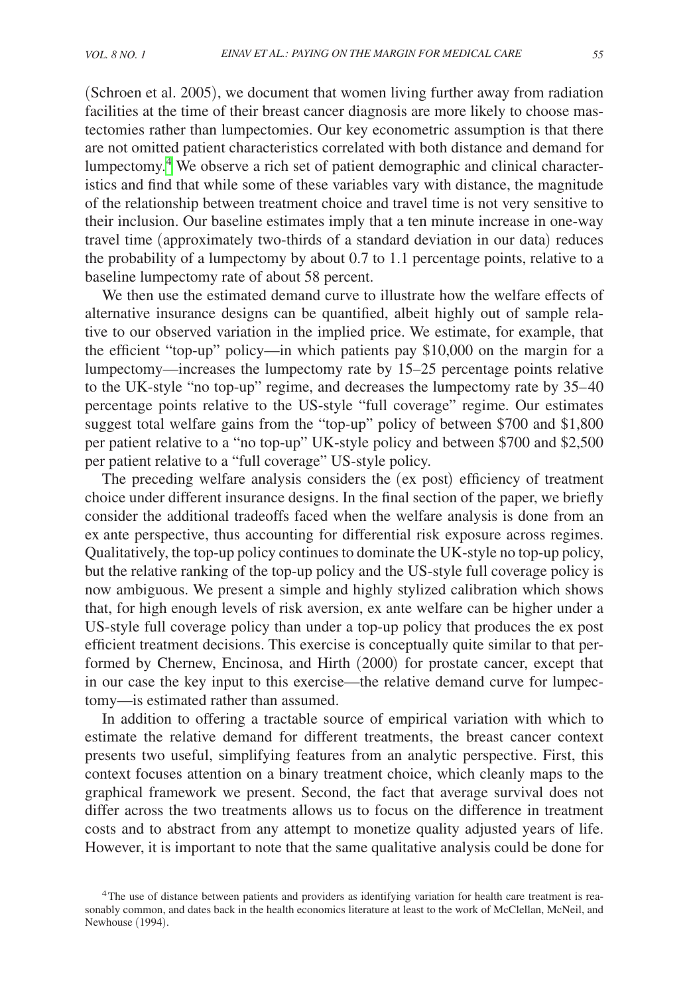(Schroen et al. 2005), we document that women living further away from radiation facilities at the time of their breast cancer diagnosis are more likely to choose mastectomies rather than lumpectomies. Our key econometric assumption is that there are not omitted patient characteristics correlated with both distance and demand for lumpectomy.<sup>4</sup> We observe a rich set of patient demographic and clinical characteristics and find that while some of these variables vary with distance, the magnitude of the relationship between treatment choice and travel time is not very sensitive to their inclusion. Our baseline estimates imply that a ten minute increase in one-way travel time (approximately two-thirds of a standard deviation in our data) reduces the probability of a lumpectomy by about 0.7 to 1.1 percentage points, relative to a baseline lumpectomy rate of about 58 percent.

We then use the estimated demand curve to illustrate how the welfare effects of alternative insurance designs can be quantified, albeit highly out of sample relative to our observed variation in the implied price. We estimate, for example, that the efficient "top-up" policy—in which patients pay \$10,000 on the margin for a lumpectomy—increases the lumpectomy rate by 15–25 percentage points relative to the UK-style "no top-up" regime, and decreases the lumpectomy rate by 35– 40 percentage points relative to the US-style "full coverage" regime. Our estimates suggest total welfare gains from the "top-up" policy of between \$700 and \$1,800 per patient relative to a "no top-up" UK-style policy and between \$700 and \$2,500 per patient relative to a "full coverage" US-style policy.

The preceding welfare analysis considers the (ex post) efficiency of treatment choice under different insurance designs. In the final section of the paper, we briefly consider the additional tradeoffs faced when the welfare analysis is done from an ex ante perspective, thus accounting for differential risk exposure across regimes. Qualitatively, the top-up policy continues to dominate the UK-style no top-up policy, but the relative ranking of the top-up policy and the US-style full coverage policy is now ambiguous. We present a simple and highly stylized calibration which shows that, for high enough levels of risk aversion, ex ante welfare can be higher under a US-style full coverage policy than under a top-up policy that produces the ex post efficient treatment decisions. This exercise is conceptually quite similar to that performed by Chernew, Encinosa, and Hirth (2000) for prostate cancer, except that in our case the key input to this exercise—the relative demand curve for lumpectomy—is estimated rather than assumed.

In addition to offering a tractable source of empirical variation with which to estimate the relative demand for different treatments, the breast cancer context presents two useful, simplifying features from an analytic perspective. First, this context focuses attention on a binary treatment choice, which cleanly maps to the graphical framework we present. Second, the fact that average survival does not differ across the two treatments allows us to focus on the difference in treatment costs and to abstract from any attempt to monetize quality adjusted years of life. However, it is important to note that the same qualitative analysis could be done for

<span id="page-3-0"></span><sup>&</sup>lt;sup>4</sup>The use of distance between patients and providers as identifying variation for health care treatment is reasonably common, and dates back in the health economics literature at least to the work of McClellan, McNeil, and Newhouse (1994).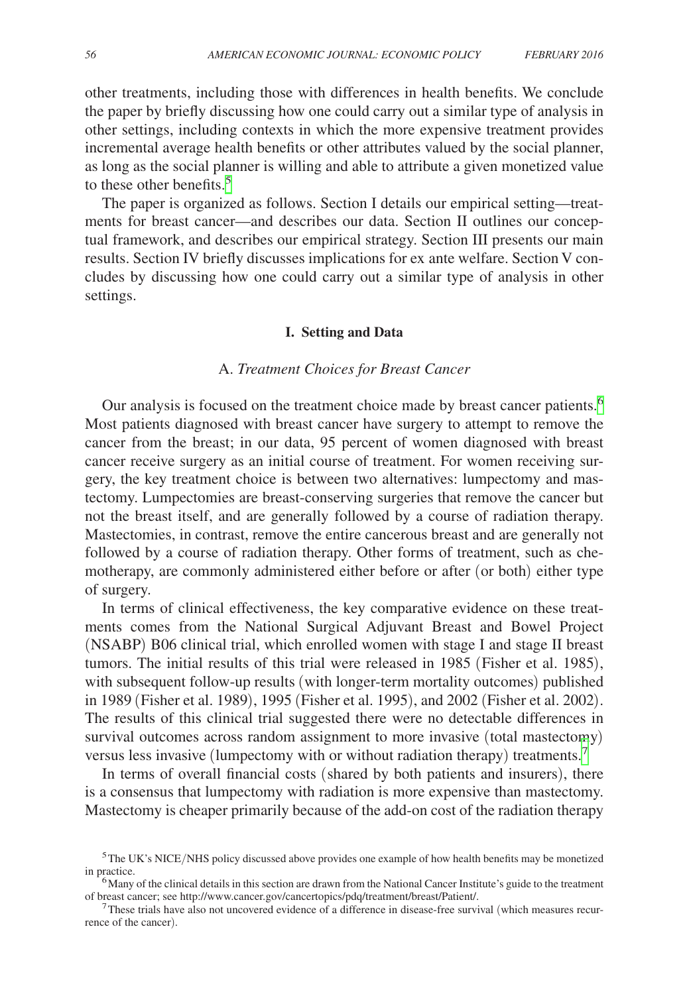other treatments, including those with differences in health benefits. We conclude the paper by briefly discussing how one could carry out a similar type of analysis in other settings, including contexts in which the more expensive treatment provides incremental average health benefits or other attributes valued by the social planner, as long as the social planner is willing and able to attribute a given monetized value to these other benefits.<sup>[5](#page-4-0)</sup>

The paper is organized as follows. Section I details our empirical setting—treatments for breast cancer—and describes our data. Section II outlines our conceptual framework, and describes our empirical strategy. Section III presents our main results. Section IV briefly discusses implications for ex ante welfare. Section V concludes by discussing how one could carry out a similar type of analysis in other settings.

#### **I. Setting and Data**

## A. *Treatment Choices for Breast Cancer*

Our analysis is focused on the treatment choice made by breast cancer patients.<sup>[6](#page-4-1)</sup> Most patients diagnosed with breast cancer have surgery to attempt to remove the cancer from the breast; in our data, 95 percent of women diagnosed with breast cancer receive surgery as an initial course of treatment. For women receiving surgery, the key treatment choice is between two alternatives: lumpectomy and mastectomy. Lumpectomies are breast-conserving surgeries that remove the cancer but not the breast itself, and are generally followed by a course of radiation therapy. Mastectomies, in contrast, remove the entire cancerous breast and are generally not followed by a course of radiation therapy. Other forms of treatment, such as chemotherapy, are commonly administered either before or after (or both) either type of surgery.

In terms of clinical effectiveness, the key comparative evidence on these treatments comes from the National Surgical Adjuvant Breast and Bowel Project (NSABP) B06 clinical trial, which enrolled women with stage I and stage II breast tumors. The initial results of this trial were released in 1985 (Fisher et al. 1985), with subsequent follow-up results (with longer-term mortality outcomes) published in 1989 (Fisher et al. 1989), 1995 (Fisher et al. 1995), and 2002 (Fisher et al. 2002). The results of this clinical trial suggested there were no detectable differences in survival outcomes across random assignment to more invasive (total mastectomy) versus less invasive (lumpectomy with or without radiation therapy) treatments.[7](#page-4-2)

In terms of overall financial costs (shared by both patients and insurers), there is a consensus that lumpectomy with radiation is more expensive than mastectomy. Mastectomy is cheaper primarily because of the add-on cost of the radiation therapy

<span id="page-4-0"></span><sup>&</sup>lt;sup>5</sup>The UK's NICE/NHS policy discussed above provides one example of how health benefits may be monetized in practice.

<span id="page-4-1"></span> $<sup>6</sup>$ Many of the clinical details in this section are drawn from the National Cancer Institute's guide to the treatment</sup> of breast cancer; see http://www.cancer.gov/cancertopics/pdq/treatment/breast/Patient/. 7These trials have also not uncovered evidence of a difference in disease-free survival (which measures recur-

<span id="page-4-2"></span>rence of the cancer).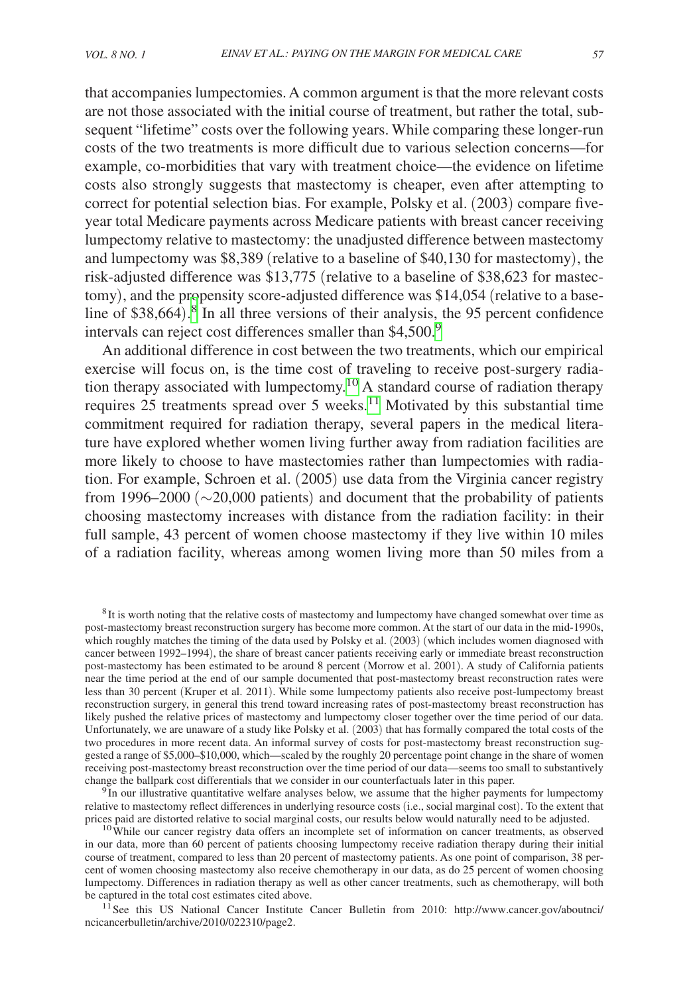that accompanies lumpectomies. A common argument is that the more relevant costs are not those associated with the initial course of treatment, but rather the total, subsequent "lifetime" costs over the following years. While comparing these longer-run costs of the two treatments is more difficult due to various selection concerns—for example, co-morbidities that vary with treatment choice—the evidence on lifetime costs also strongly suggests that mastectomy is cheaper, even after attempting to correct for potential selection bias. For example, Polsky et al. (2003) compare fiveyear total Medicare payments across Medicare patients with breast cancer receiving lumpectomy relative to mastectomy: the unadjusted difference between mastectomy and lumpectomy was \$8,389 (relative to a baseline of \$40,130 for mastectomy), the risk-adjusted difference was \$13,775 (relative to a baseline of \$38,623 for mastectomy), and the propensity score-adjusted difference was \$14,054 (relative to a base-line of \$3[8](#page-5-0),664).<sup>8</sup> In all three versions of their analysis, the 95 percent confidence intervals can reject cost differences smaller than \$4,500.<sup>[9](#page-5-1)</sup>

An additional difference in cost between the two treatments, which our empirical exercise will focus on, is the time cost of traveling to receive post-surgery radiation therapy associated with lumpectomy.[10](#page-5-2) A standard course of radiation therapy requires  $25$  treatments spread over 5 weeks.<sup>11</sup> Motivated by this substantial time commitment required for radiation therapy, several papers in the medical literature have explored whether women living further away from radiation facilities are more likely to choose to have mastectomies rather than lumpectomies with radiation. For example, Schroen et al. (2005) use data from the Virginia cancer registry from 1996–2000 (∼20,000 patients) and document that the probability of patients choosing mastectomy increases with distance from the radiation facility: in their full sample, 43 percent of women choose mastectomy if they live within 10 miles of a radiation facility, whereas among women living more than 50 miles from a

<span id="page-5-0"></span><sup>8</sup>It is worth noting that the relative costs of mastectomy and lumpectomy have changed somewhat over time as post-mastectomy breast reconstruction surgery has become more common. At the start of our data in the mid-1990s, which roughly matches the timing of the data used by Polsky et al. (2003) (which includes women diagnosed with cancer between 1992–1994), the share of breast cancer patients receiving early or immediate breast reconstruction post-mastectomy has been estimated to be around 8 percent (Morrow et al. 2001). A study of California patients near the time period at the end of our sample documented that post-mastectomy breast reconstruction rates were less than 30 percent (Kruper et al. 2011). While some lumpectomy patients also receive post-lumpectomy breast reconstruction surgery, in general this trend toward increasing rates of post-mastectomy breast reconstruction has likely pushed the relative prices of mastectomy and lumpectomy closer together over the time period of our data. Unfortunately, we are unaware of a study like Polsky et al. (2003) that has formally compared the total costs of the two procedures in more recent data. An informal survey of costs for post-mastectomy breast reconstruction suggested a range of \$5,000–\$10,000, which—scaled by the roughly 20 percentage point change in the share of women receiving post-mastectomy breast reconstruction over the time period of our data—seems too small to substantively

<span id="page-5-1"></span>change the ballpark cost differentials that we consider in our counterfactuals later in this paper.<br><sup>9</sup>In our illustrative quantitative welfare analyses below, we assume that the higher payments for lumpectomy relative to mastectomy reflect differences in underlying resource costs (i.e., social marginal cost). To the extent that prices paid are distorted relative to social marginal costs, our results below would naturally need t

<span id="page-5-2"></span> $10$  While our cancer registry data offers an incomplete set of information on cancer treatments, as observed in our data, more than 60 percent of patients choosing lumpectomy receive radiation therapy during their initial course of treatment, compared to less than 20 percent of mastectomy patients. As one point of comparison, 38 percent of women choosing mastectomy also receive chemotherapy in our data, as do 25 percent of women choosing lumpectomy. Differences in radiation therapy as well as other cancer treatments, such as chemotherapy, will both be captured in the total cost estimates cited above.<br><sup>11</sup>See this US National Cancer Institute Cancer Bulletin from 2010: http://www.cancer.gov/aboutnci/

<span id="page-5-3"></span>ncicancerbulletin/archive/2010/022310/page2.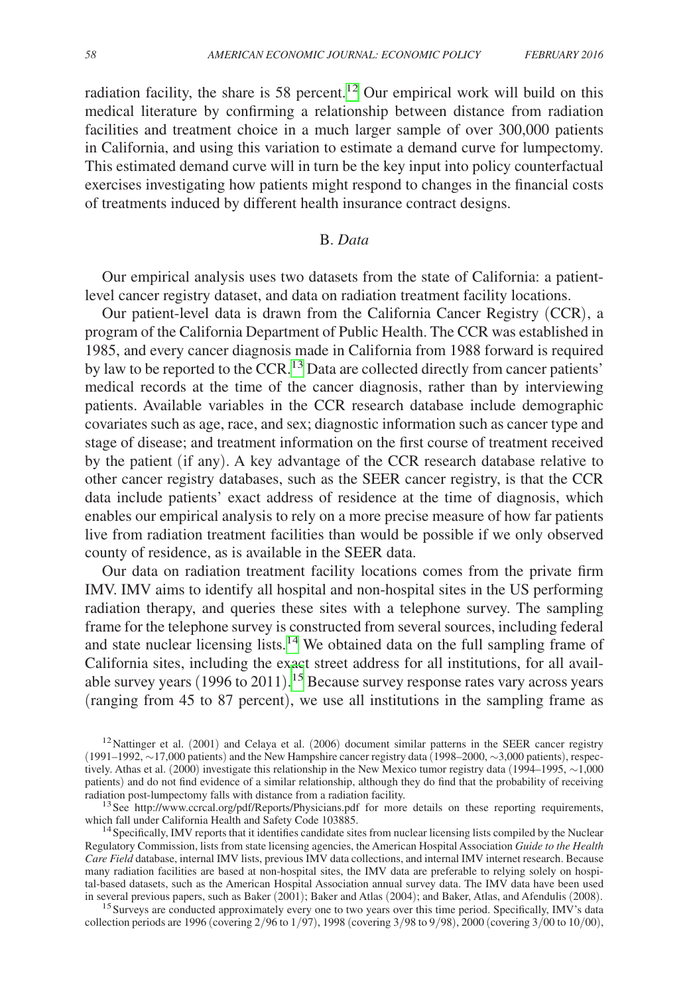radiation facility, the share is 58 percent.<sup>12</sup> Our empirical work will build on this medical literature by confirming a relationship between distance from radiation facilities and treatment choice in a much larger sample of over 300,000 patients in California, and using this variation to estimate a demand curve for lumpectomy. This estimated demand curve will in turn be the key input into policy counterfactual exercises investigating how patients might respond to changes in the financial costs of treatments induced by different health insurance contract designs.

## B. *Data*

Our empirical analysis uses two datasets from the state of California: a patientlevel cancer registry dataset, and data on radiation treatment facility locations.

Our patient-level data is drawn from the California Cancer Registry (CCR), a program of the California Department of Public Health. The CCR was established in 1985, and every cancer diagnosis made in California from 1988 forward is required by law to be reported to the CCR.<sup>13</sup> Data are collected directly from cancer patients' medical records at the time of the cancer diagnosis, rather than by interviewing patients. Available variables in the CCR research database include demographic covariates such as age, race, and sex; diagnostic information such as cancer type and stage of disease; and treatment information on the first course of treatment received by the patient (if any). A key advantage of the CCR research database relative to other cancer registry databases, such as the SEER cancer registry, is that the CCR data include patients' exact address of residence at the time of diagnosis, which enables our empirical analysis to rely on a more precise measure of how far patients live from radiation treatment facilities than would be possible if we only observed county of residence, as is available in the SEER data.

Our data on radiation treatment facility locations comes from the private firm IMV. IMV aims to identify all hospital and non-hospital sites in the US performing radiation therapy, and queries these sites with a telephone survey. The sampling frame for the telephone survey is constructed from several sources, including federal and state nuclear licensing lists.<sup>14</sup> We obtained data on the full sampling frame of California sites, including the exact street address for all institutions, for all available survey years (1996 to 2011).<sup>15</sup> Because survey response rates vary across years (ranging from 45 to 87 percent), we use all institutions in the sampling frame as

<span id="page-6-0"></span><sup>12</sup>Nattinger et al. (2001) and Celaya et al. (2006) document similar patterns in the SEER cancer registry (1991–1992, ∼17,000 patients) and the New Hampshire cancer registry data (1998–2000, ∼3,000 patients), respectively. Athas et al. (2000) investigate this relationship in the New Mexico tumor registry data (1994–1995, ∼1,000 patients) and do not find evidence of a similar relationship, although they do find that the probability of receiving

<span id="page-6-1"></span><sup>13</sup>See http://www.ccrcal.org/pdf/Reports/Physicians.pdf for more details on these reporting requirements, which fall under California Health and Safety Code 103885.<br><sup>14</sup> Specifically, IMV reports that it identifies candidate sites from nuclear licensing lists compiled by the Nuclear

<span id="page-6-2"></span>Regulatory Commission, lists from state licensing agencies, the American Hospital Association *Guide to the Health Care Field* database, internal IMV lists, previous IMV data collections, and internal IMV internet research. Because many radiation facilities are based at non-hospital sites, the IMV data are preferable to relying solely on hospital-based datasets, such as the American Hospital Association annual survey data. The IMV data have been used

<span id="page-6-3"></span>in several previous papers, such as Baker (2001); Baker and Atlas (2004); and Baker, Atlas, and Afendulis (2008). <sup>15</sup> Surveys are conducted approximately every one to two years over this time period. Specifically, IMV's d collection periods are 1996 (covering 2/96 to 1/97), 1998 (covering 3/98 to 9/98), 2000 (covering 3/00 to 10/00),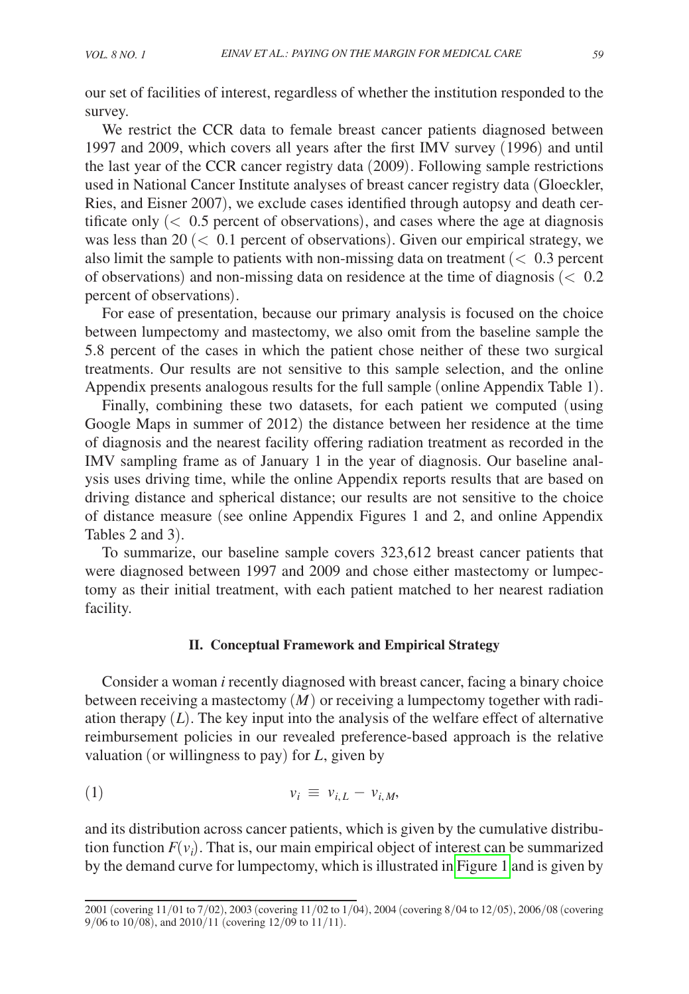our set of facilities of interest, regardless of whether the institution responded to the survey.

We restrict the CCR data to female breast cancer patients diagnosed between 1997 and 2009, which covers all years after the first IMV survey (1996) and until the last year of the CCR cancer registry data (2009). Following sample restrictions used in National Cancer Institute analyses of breast cancer registry data (Gloeckler, Ries, and Eisner 2007), we exclude cases identified through autopsy and death certificate only  $( $0.5$  percent of observations), and cases where the age at diagnosis$ was less than  $20 \, (<\, 0.1$  percent of observations). Given our empirical strategy, we also limit the sample to patients with non-missing data on treatment  $\ll 0.3$  percent of observations) and non-missing data on residence at the time of diagnosis  $\approx 0.2$ percent of observations).

For ease of presentation, because our primary analysis is focused on the choice between lumpectomy and mastectomy, we also omit from the baseline sample the 5.8 percent of the cases in which the patient chose neither of these two surgical treatments. Our results are not sensitive to this sample selection, and the online Appendix presents analogous results for the full sample (online Appendix Table 1).

Finally, combining these two datasets, for each patient we computed (using Google Maps in summer of 2012) the distance between her residence at the time of diagnosis and the nearest facility offering radiation treatment as recorded in the IMV sampling frame as of January 1 in the year of diagnosis. Our baseline analysis uses driving time, while the online Appendix reports results that are based on driving distance and spherical distance; our results are not sensitive to the choice of distance measure (see online Appendix Figures 1 and 2, and online Appendix Tables 2 and 3).

To summarize, our baseline sample covers 323,612 breast cancer patients that were diagnosed between 1997 and 2009 and chose either mastectomy or lumpectomy as their initial treatment, with each patient matched to her nearest radiation facility.

## **II. Conceptual Framework and Empirical Strategy**

Consider a woman *i* recently diagnosed with breast cancer, facing a binary choice between receiving a mastectomy (*M*) or receiving a lumpectomy together with radiation therapy (*L*). The key input into the analysis of the welfare effect of alternative reimbursement policies in our revealed preference-based approach is the relative valuation (or willingness to pay) for *L*, given by

$$
v_i \equiv v_{i,L} - v_{i,M},
$$

and its distribution across cancer patients, which is given by the cumulative distribution function  $F(v_i)$ . That is, our main empirical object of interest can be summarized by the demand curve for lumpectomy, which is illustrated in [Figure 1](#page-8-0) and is given by

<sup>2001</sup> (covering 11/01 to 7/02), 2003 (covering 11/02 to 1/04), 2004 (covering 8/04 to 12/05), 2006/08 (covering 9/06 to 10/08), and 2010/11 (covering 12/09 to 11/11).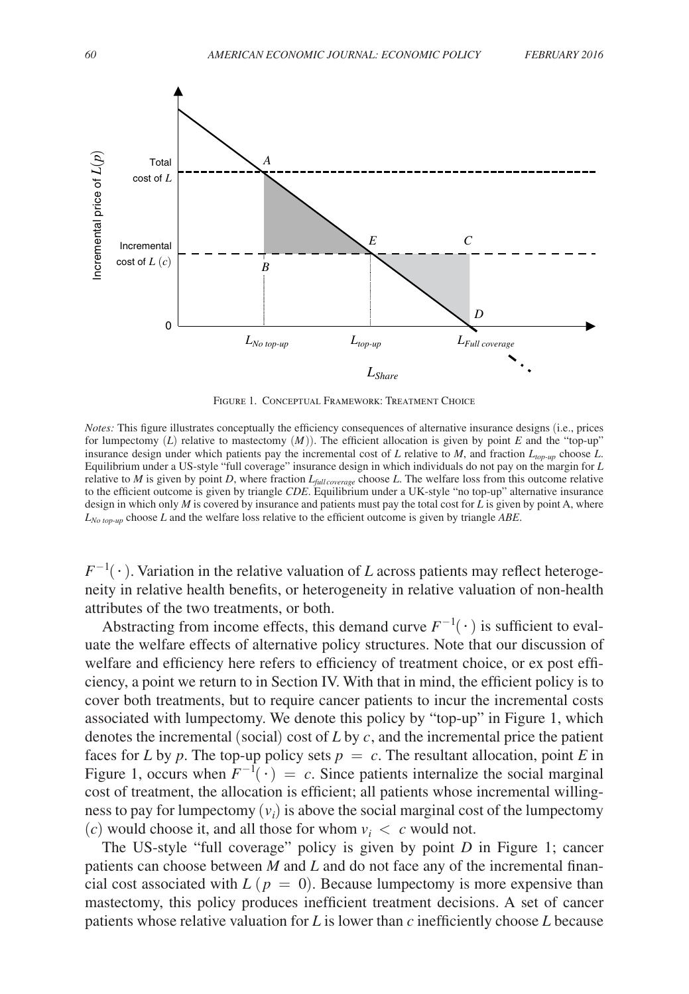<span id="page-8-0"></span>

FIGURE 1. CONCEPTUAL FRAMEWORK: TREATMENT CHOICE

*Notes:* This figure illustrates conceptually the efficiency consequences of alternative insurance designs (i.e., prices for lumpectomy  $(L)$  relative to mastectomy  $(M)$ ). The efficient allocation is given by point *E* and the "top-up" insurance design under which patients pay the incremental cost of *L* relative to *M*, and fraction *Ltop-up* choose *L*. Equilibrium under a US-style "full coverage" insurance design in which individuals do not pay on the margin for *L* relative to *M* is given by point *D*, where fraction  $L_{full\, coverage}$  choose *L*. The welfare loss from this outcome relative to the efficient outcome is given by triangle *CDE*. Equilibrium under a UK-style "no top-up" alternative insurance design in which only *M* is covered by insurance and patients must pay the total cost for *L* is given by point A, where

*F*<sup>−1</sup>(⋅). Variation in the relative valuation of *L* across patients may reflect heterogeneity in relative health benefits, or heterogeneity in relative valuation of non-health attributes of the two treatments, or both.

Abstracting from income effects, this demand curve  $F^{-1}(\cdot)$  is sufficient to evaluate the welfare effects of alternative policy structures. Note that our discussion of welfare and efficiency here refers to efficiency of treatment choice, or ex post efficiency, a point we return to in Section IV. With that in mind, the efficient policy is to cover both treatments, but to require cancer patients to incur the incremental costs associated with lumpectomy. We denote this policy by "top-up" in Figure 1, which denotes the incremental (social) cost of *L* by *c*, and the incremental price the patient faces for *L* by *p*. The top-up policy sets  $p = c$ . The resultant allocation, point *E* in Figure 1, occurs when  $F^{-1}(\cdot) = c$ . Since patients internalize the social marginal cost of treatment, the allocation is efficient; all patients whose incremental willingness to pay for lumpectomy  $(v_i)$  is above the social marginal cost of the lumpectomy (*c*) would choose it, and all those for whom  $v_i < c$  would not.

The US-style "full coverage" policy is given by point *D* in Figure 1; cancer patients can choose between *M* and *L* and do not face any of the incremental financial cost associated with  $L (p = 0)$ . Because lumpectomy is more expensive than mastectomy, this policy produces inefficient treatment decisions. A set of cancer patients whose relative valuation for *L* is lower than *c* inefficiently choose *L* because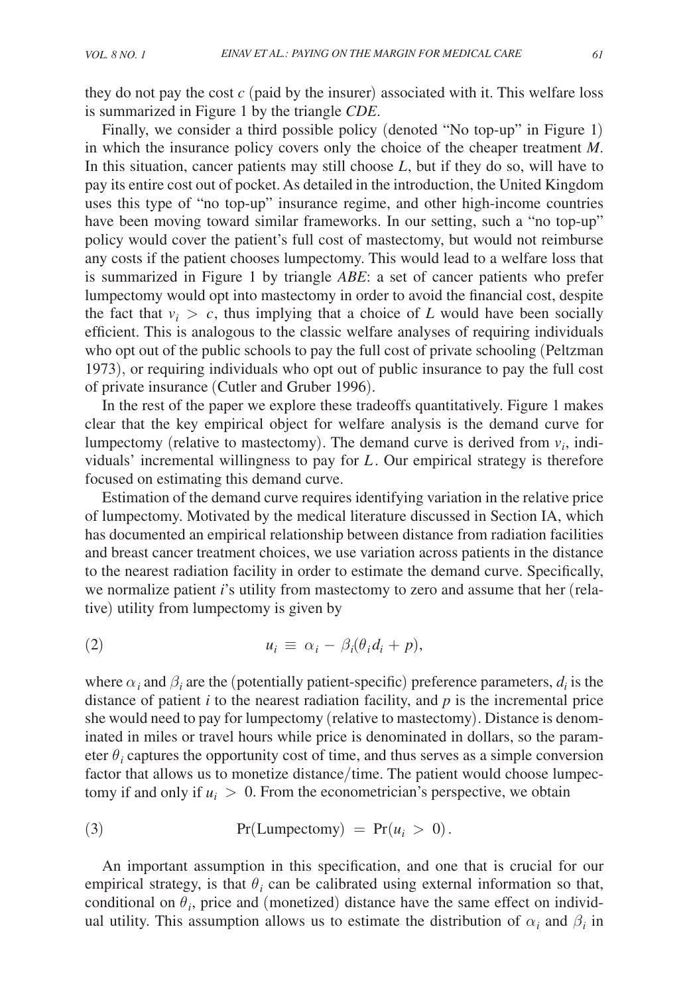they do not pay the cost *c* (paid by the insurer) associated with it. This welfare loss is summarized in Figure 1 by the triangle *CDE*.

Finally, we consider a third possible policy (denoted "No top-up" in Figure 1) in which the insurance policy covers only the choice of the cheaper treatment *M*. In this situation, cancer patients may still choose *L*, but if they do so, will have to pay its entire cost out of pocket. As detailed in the introduction, the United Kingdom uses this type of "no top-up" insurance regime, and other high-income countries have been moving toward similar frameworks. In our setting, such a "no top-up" policy would cover the patient's full cost of mastectomy, but would not reimburse any costs if the patient chooses lumpectomy. This would lead to a welfare loss that is summarized in Figure 1 by triangle *ABE*: a set of cancer patients who prefer lumpectomy would opt into mastectomy in order to avoid the financial cost, despite the fact that  $v_i > c$ , thus implying that a choice of *L* would have been socially efficient. This is analogous to the classic welfare analyses of requiring individuals who opt out of the public schools to pay the full cost of private schooling (Peltzman 1973), or requiring individuals who opt out of public insurance to pay the full cost of private insurance (Cutler and Gruber 1996).

In the rest of the paper we explore these tradeoffs quantitatively. Figure 1 makes clear that the key empirical object for welfare analysis is the demand curve for lumpectomy (relative to mastectomy). The demand curve is derived from  $v_i$ , individuals' incremental willingness to pay for *L*. Our empirical strategy is therefore focused on estimating this demand curve.

Estimation of the demand curve requires identifying variation in the relative price of lumpectomy. Motivated by the medical literature discussed in Section IA, which has documented an empirical relationship between distance from radiation facilities and breast cancer treatment choices, we use variation across patients in the distance to the nearest radiation facility in order to estimate the demand curve. Specifically, we normalize patient *i*'s utility from mastectomy to zero and assume that her (relative) utility from lumpectomy is given by

$$
(2) \t\t\t  $u_i \equiv \alpha_i - \beta_i(\theta_i d_i + p),$
$$

where  $\alpha_i$  and  $\beta_i$  are the (potentially patient-specific) preference parameters,  $d_i$  is the distance of patient *i* to the nearest radiation facility, and *p* is the incremental price she would need to pay for lumpectomy (relative to mastectomy). Distance is denominated in miles or travel hours while price is denominated in dollars, so the parameter  $\theta_i$  captures the opportunity cost of time, and thus serves as a simple conversion factor that allows us to monetize distance/time. The patient would choose lumpectomy if and only if  $u_i > 0$ . From the econometrician's perspective, we obtain

(3) 
$$
Pr(Lumpectrum) = Pr(ui > 0).
$$

An important assumption in this specification, and one that is crucial for our empirical strategy, is that  $\theta_i$  can be calibrated using external information so that, conditional on  $\theta_i$ , price and (monetized) distance have the same effect on individual utility. This assumption allows us to estimate the distribution of  $\alpha_i$  and  $\beta_i$  in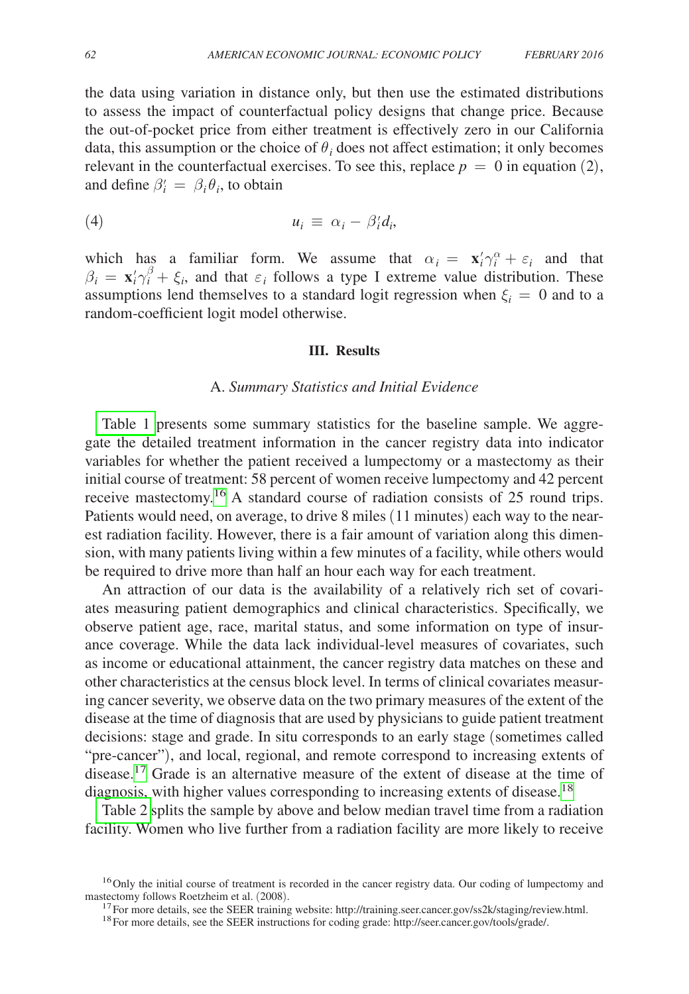the data using variation in distance only, but then use the estimated distributions to assess the impact of counterfactual policy designs that change price. Because the out-of-pocket price from either treatment is effectively zero in our California data, this assumption or the choice of  $\theta_i$  does not affect estimation; it only becomes relevant in the counterfactual exercises. To see this, replace  $p = 0$  in equation (2), and define  $\beta'_i = \beta_i \theta_i$ , to obtain

$$
(4) \t\t\t u_i \equiv \alpha_i - \beta'_i d_i,
$$

which has a familiar form. We assume that  $\alpha_i = \mathbf{x}_i' \gamma_i^{\alpha} + \varepsilon_i$  and that  $\beta_i = \mathbf{x}_i' \gamma_i^{\beta} + \xi_i$ , and that  $\varepsilon_i$  follows a type I extreme value distribution. These assumptions lend themselves to a standard logit regression when  $\xi_i = 0$  and to a random-coefficient logit model otherwise.

#### **III. Results**

#### A. *Summary Statistics and Initial Evidence*

[Table 1](#page-11-0) presents some summary statistics for the baseline sample. We aggregate the detailed treatment information in the cancer registry data into indicator variables for whether the patient received a lumpectomy or a mastectomy as their initial course of treatment: 58 percent of women receive lumpectomy and 42 percent receive mastectomy.[16](#page-10-0) A standard course of radiation consists of 25 round trips. Patients would need, on average, to drive 8 miles (11 minutes) each way to the nearest radiation facility. However, there is a fair amount of variation along this dimension, with many patients living within a few minutes of a facility, while others would be required to drive more than half an hour each way for each treatment.

An attraction of our data is the availability of a relatively rich set of covariates measuring patient demographics and clinical characteristics. Specifically, we observe patient age, race, marital status, and some information on type of insurance coverage. While the data lack individual-level measures of covariates, such as income or educational attainment, the cancer registry data matches on these and other characteristics at the census block level. In terms of clinical covariates measuring cancer severity, we observe data on the two primary measures of the extent of the disease at the time of diagnosis that are used by physicians to guide patient treatment decisions: stage and grade. In situ corresponds to an early stage (sometimes called "pre-cancer"), and local, regional, and remote correspond to increasing extents of disease.[17](#page-10-1) Grade is an alternative measure of the extent of disease at the time of diagnosis, with higher values corresponding to increasing extents of disease.<sup>[18](#page-10-2)</sup>

[Table 2](#page-12-0) splits the sample by above and below median travel time from a radiation facility. Women who live further from a radiation facility are more likely to receive

<span id="page-10-0"></span><sup>&</sup>lt;sup>16</sup>Only the initial course of treatment is recorded in the cancer registry data. Our coding of lumpectomy and mastectomy follows Roetzheim et al. (2008).<br><sup>17</sup> For more details, see the SEER training website: http://training.seer.cancer.gov/ss2k/staging/review.html.<br><sup>18</sup> For more details, see the SEER instructions for coding grade:

<span id="page-10-1"></span>

<span id="page-10-2"></span>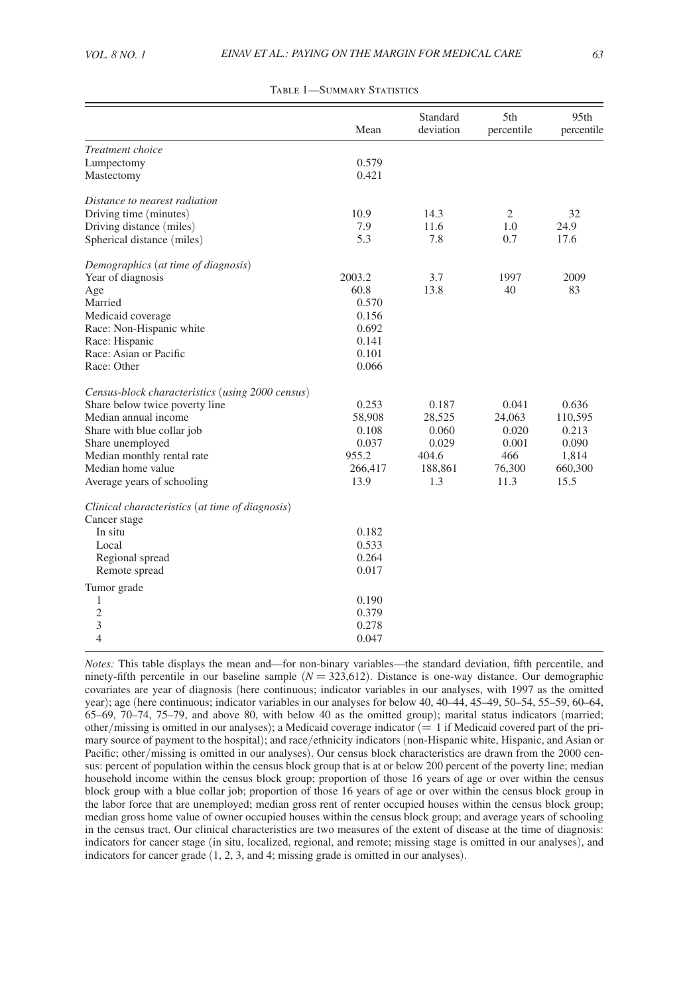<span id="page-11-0"></span>

|                                                  | Mean    | Standard<br>deviation | 5th<br>percentile | 95th<br>percentile |
|--------------------------------------------------|---------|-----------------------|-------------------|--------------------|
| Treatment choice                                 |         |                       |                   |                    |
| Lumpectomy                                       | 0.579   |                       |                   |                    |
| Mastectomy                                       | 0.421   |                       |                   |                    |
| Distance to nearest radiation                    |         |                       |                   |                    |
| Driving time (minutes)                           | 10.9    | 14.3                  | $\overline{2}$    | 32                 |
| Driving distance (miles)                         | 7.9     | 11.6                  | 1.0               | 24.9               |
| Spherical distance (miles)                       | 5.3     | 7.8                   | 0.7               | 17.6               |
| Demographics (at time of diagnosis)              |         |                       |                   |                    |
| Year of diagnosis                                | 2003.2  | 3.7                   | 1997              | 2009               |
| Age                                              | 60.8    | 13.8                  | 40                | 83                 |
| Married                                          | 0.570   |                       |                   |                    |
| Medicaid coverage                                | 0.156   |                       |                   |                    |
| Race: Non-Hispanic white                         | 0.692   |                       |                   |                    |
| Race: Hispanic                                   | 0.141   |                       |                   |                    |
| Race: Asian or Pacific                           | 0.101   |                       |                   |                    |
| Race: Other                                      | 0.066   |                       |                   |                    |
| Census-block characteristics (using 2000 census) |         |                       |                   |                    |
| Share below twice poverty line                   | 0.253   | 0.187                 | 0.041             | 0.636              |
| Median annual income                             | 58,908  | 28,525                | 24,063            | 110,595            |
| Share with blue collar job                       | 0.108   | 0.060                 | 0.020             | 0.213              |
| Share unemployed                                 | 0.037   | 0.029                 | 0.001             | 0.090              |
| Median monthly rental rate                       | 955.2   | 404.6                 | 466               | 1,814              |
| Median home value                                | 266,417 | 188,861               | 76,300            | 660,300            |
| Average years of schooling                       | 13.9    | 1.3                   | 11.3              | 15.5               |
| Clinical characteristics (at time of diagnosis)  |         |                       |                   |                    |
| Cancer stage                                     |         |                       |                   |                    |
| In situ                                          | 0.182   |                       |                   |                    |
| Local                                            | 0.533   |                       |                   |                    |
| Regional spread                                  | 0.264   |                       |                   |                    |
| Remote spread                                    | 0.017   |                       |                   |                    |
| Tumor grade                                      |         |                       |                   |                    |
| 1                                                | 0.190   |                       |                   |                    |
| $\overline{c}$                                   | 0.379   |                       |                   |                    |
| 3                                                | 0.278   |                       |                   |                    |
| $\overline{4}$                                   | 0.047   |                       |                   |                    |

#### Table 1—Summary Statistics

*Notes:* This table displays the mean and—for non-binary variables—the standard deviation, fifth percentile, and ninety-fifth percentile in our baseline sample (*N* = 323,612). Distance is one-way distance. Our demographic covariates are year of diagnosis (here continuous; indicator variables in our analyses, with 1997 as the omitted year); age (here continuous; indicator variables in our analyses for below 40, 40–44, 45–49, 50–54, 55–59, 60–64, 65–69, 70–74, 75–79, and above 80, with below 40 as the omitted group); marital status indicators (married; other/missing is omitted in our analyses); a Medicaid coverage indicator (= 1 if Medicaid covered part of the primary source of payment to the hospital); and race/ethnicity indicators (non-Hispanic white, Hispanic, and Asian or Pacific; other/missing is omitted in our analyses). Our census block characteristics are drawn from the 2000 census: percent of population within the census block group that is at or below 200 percent of the poverty line; median household income within the census block group; proportion of those 16 years of age or over within the census block group with a blue collar job; proportion of those 16 years of age or over within the census block group in the labor force that are unemployed; median gross rent of renter occupied houses within the census block group; median gross home value of owner occupied houses within the census block group; and average years of schooling in the census tract. Our clinical characteristics are two measures of the extent of disease at the time of diagnosis: indicators for cancer stage (in situ, localized, regional, and remote; missing stage is omitted in our analyses), and indicators for cancer grade (1, 2, 3, and 4; missing grade is omitted in our analyses).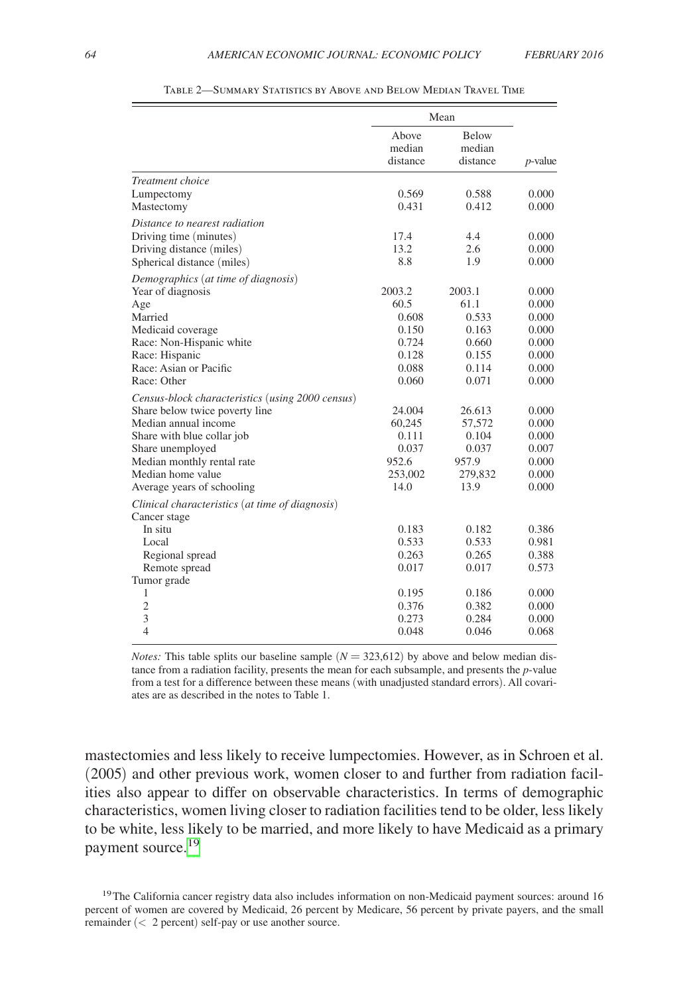<span id="page-12-0"></span>

|                                                  | Mean            |                        |            |
|--------------------------------------------------|-----------------|------------------------|------------|
|                                                  | Above<br>median | <b>Below</b><br>median |            |
|                                                  | distance        | distance               | $p$ -value |
| Treatment choice                                 |                 |                        |            |
| Lumpectomy                                       | 0.569           | 0.588                  | 0.000      |
| Mastectomy                                       | 0.431           | 0.412                  | 0.000      |
| Distance to nearest radiation                    |                 |                        |            |
| Driving time (minutes)                           | 17.4            | 4.4                    | 0.000      |
| Driving distance (miles)                         | 13.2            | 2.6                    | 0.000      |
| Spherical distance (miles)                       | 8.8             | 1.9                    | 0.000      |
| Demographics (at time of diagnosis)              |                 |                        |            |
| Year of diagnosis                                | 2003.2          | 2003.1                 | 0.000      |
| Age                                              | 60.5            | 61.1                   | 0.000      |
| Married                                          | 0.608           | 0.533                  | 0.000      |
| Medicaid coverage                                | 0.150           | 0.163                  | 0.000      |
| Race: Non-Hispanic white                         | 0.724           | 0.660                  | 0.000      |
| Race: Hispanic                                   | 0.128           | 0.155                  | 0.000      |
| Race: Asian or Pacific                           | 0.088           | 0.114                  | 0.000      |
| Race: Other                                      | 0.060           | 0.071                  | 0.000      |
| Census-block characteristics (using 2000 census) |                 |                        |            |
| Share below twice poverty line                   | 24.004          | 26.613                 | 0.000      |
| Median annual income                             | 60,245          | 57,572                 | 0.000      |
| Share with blue collar job                       | 0.111           | 0.104                  | 0.000      |
| Share unemployed                                 | 0.037           | 0.037                  | 0.007      |
| Median monthly rental rate                       | 952.6           | 957.9                  | 0.000      |
| Median home value                                | 253,002         | 279,832                | 0.000      |
| Average years of schooling                       | 14.0            | 13.9                   | 0.000      |
| Clinical characteristics (at time of diagnosis)  |                 |                        |            |
| Cancer stage                                     |                 |                        |            |
| In situ                                          | 0.183           | 0.182                  | 0.386      |
| Local                                            | 0.533           | 0.533                  | 0.981      |
| Regional spread                                  | 0.263           | 0.265                  | 0.388      |
| Remote spread                                    | 0.017           | 0.017                  | 0.573      |
| Tumor grade                                      |                 |                        |            |
| 1                                                | 0.195           | 0.186                  | 0.000      |
| $\overline{c}$                                   | 0.376           | 0.382                  | 0.000      |
| 3                                                | 0.273           | 0.284                  | 0.000      |
| $\overline{4}$                                   | 0.048           | 0.046                  | 0.068      |

Table 2—Summary Statistics by Above and Below Median Travel Time

*Notes:* This table splits our baseline sample  $(N = 323,612)$  by above and below median distance from a radiation facility, presents the mean for each subsample, and presents the *p*-value from a test for a difference between these means (with unadjusted standard errors). All covariates are as described in the notes to Table 1.

mastectomies and less likely to receive lumpectomies. However, as in Schroen et al. (2005) and other previous work, women closer to and further from radiation facilities also appear to differ on observable characteristics. In terms of demographic characteristics, women living closer to radiation facilities tend to be older, less likely to be white, less likely to be married, and more likely to have Medicaid as a primary payment source.<sup>19</sup>

<span id="page-12-1"></span><sup>&</sup>lt;sup>19</sup>The California cancer registry data also includes information on non-Medicaid payment sources: around 16 percent of women are covered by Medicaid, 26 percent by Medicare, 56 percent by private payers, and the small remainder (< 2 percent) self-pay or use another source.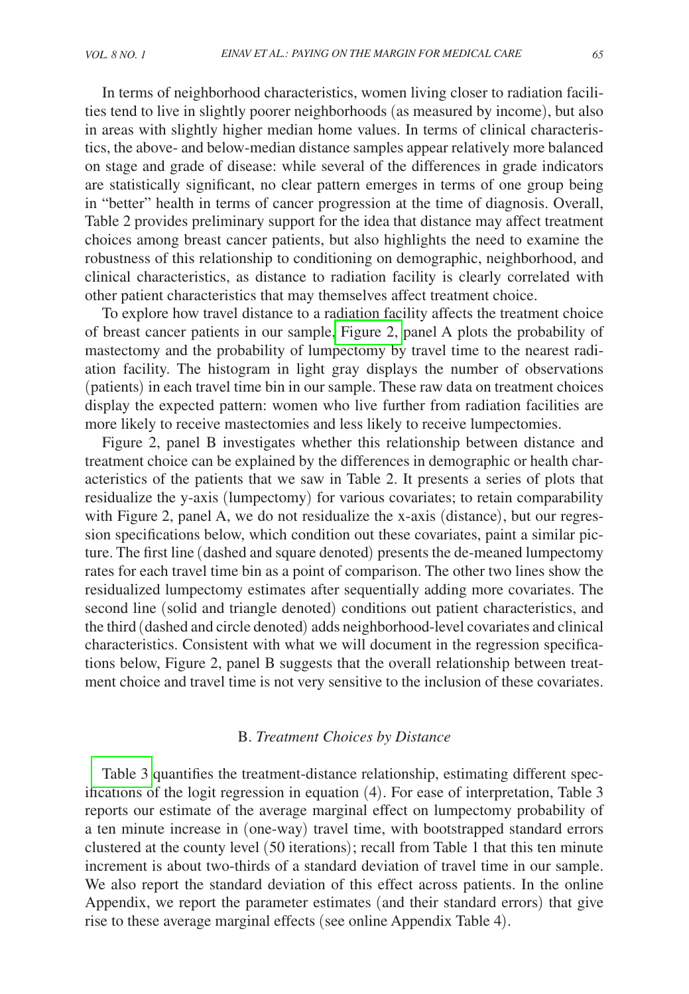In terms of neighborhood characteristics, women living closer to radiation facilities tend to live in slightly poorer neighborhoods (as measured by income), but also in areas with slightly higher median home values. In terms of clinical characteristics, the above- and below-median distance samples appear relatively more balanced on stage and grade of disease: while several of the differences in grade indicators are statistically significant, no clear pattern emerges in terms of one group being in "better" health in terms of cancer progression at the time of diagnosis. Overall, Table 2 provides preliminary support for the idea that distance may affect treatment choices among breast cancer patients, but also highlights the need to examine the robustness of this relationship to conditioning on demographic, neighborhood, and clinical characteristics, as distance to radiation facility is clearly correlated with other patient characteristics that may themselves affect treatment choice.

To explore how travel distance to a radiation facility affects the treatment choice of breast cancer patients in our sample, [Figure 2,](#page-14-0) panel A plots the probability of mastectomy and the probability of lumpectomy by travel time to the nearest radiation facility. The histogram in light gray displays the number of observations (patients) in each travel time bin in our sample. These raw data on treatment choices display the expected pattern: women who live further from radiation facilities are more likely to receive mastectomies and less likely to receive lumpectomies.

Figure 2, panel B investigates whether this relationship between distance and treatment choice can be explained by the differences in demographic or health characteristics of the patients that we saw in Table 2. It presents a series of plots that residualize the y-axis (lumpectomy) for various covariates; to retain comparability with Figure 2, panel A, we do not residualize the x-axis (distance), but our regression specifications below, which condition out these covariates, paint a similar picture. The first line (dashed and square denoted) presents the de-meaned lumpectomy rates for each travel time bin as a point of comparison. The other two lines show the residualized lumpectomy estimates after sequentially adding more covariates. The second line (solid and triangle denoted) conditions out patient characteristics, and the third (dashed and circle denoted) adds neighborhood-level covariates and clinical characteristics. Consistent with what we will document in the regression specifications below, Figure 2, panel B suggests that the overall relationship between treatment choice and travel time is not very sensitive to the inclusion of these covariates.

## B. *Treatment Choices by Distance*

[Table 3](#page-15-0) quantifies the treatment-distance relationship, estimating different specifications of the logit regression in equation (4). For ease of interpretation, Table 3 reports our estimate of the average marginal effect on lumpectomy probability of a ten minute increase in (one-way) travel time, with bootstrapped standard errors clustered at the county level (50 iterations); recall from Table 1 that this ten minute increment is about two-thirds of a standard deviation of travel time in our sample. We also report the standard deviation of this effect across patients. In the online Appendix, we report the parameter estimates (and their standard errors) that give rise to these average marginal effects (see online Appendix Table 4).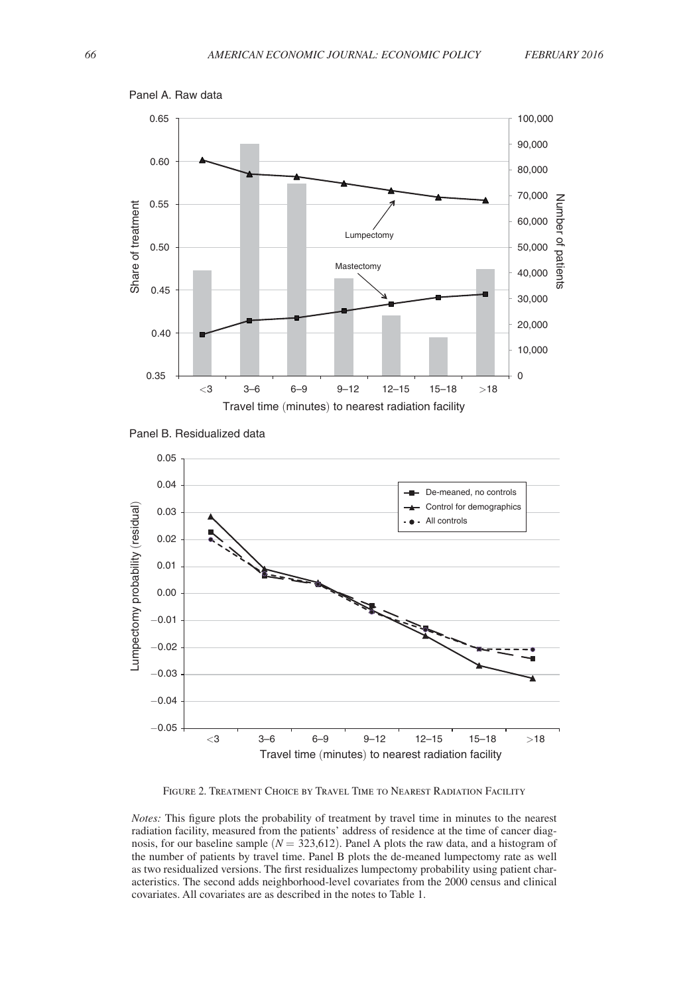<span id="page-14-0"></span>

Panel A. Raw data





Figure 2. Treatment Choice by Travel Time to Nearest Radiation Facility

*Notes:* This figure plots the probability of treatment by travel time in minutes to the nearest radiation facility, measured from the patients' address of residence at the time of cancer diagnosis, for our baseline sample (*N* = 323,612). Panel A plots the raw data, and a histogram of the number of patients by travel time. Panel B plots the de-meaned lumpectomy rate as well as two residualized versions. The first residualizes lumpectomy probability using patient characteristics. The second adds neighborhood-level covariates from the 2000 census and clinical covariates. All covariates are as described in the notes to Table 1.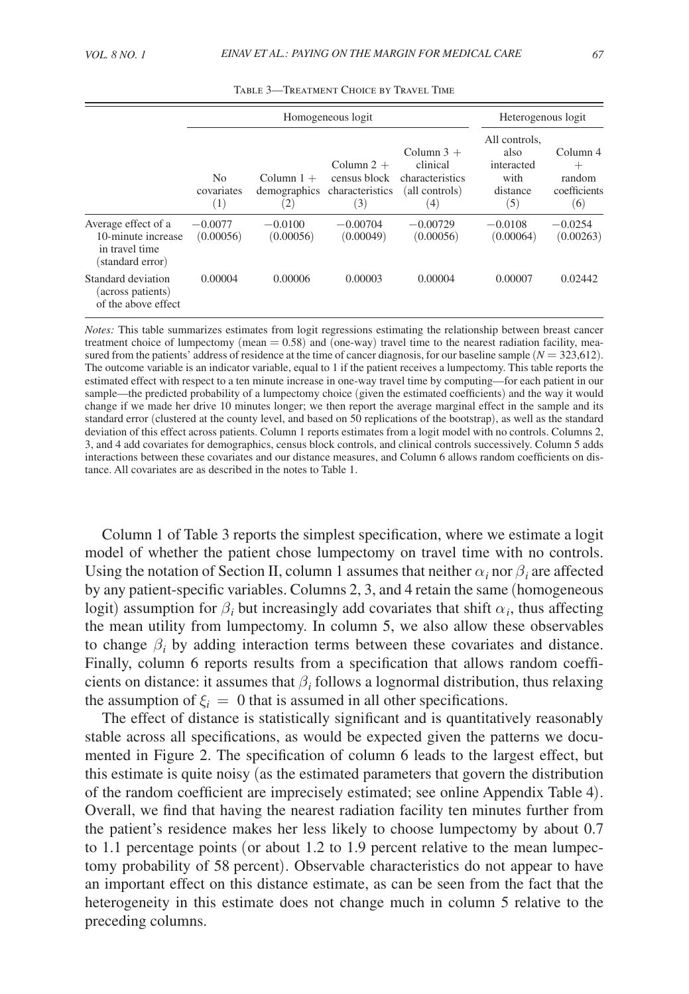<span id="page-15-0"></span>

|                                                                                 | Homogeneous logit                   |                                                   |                                                                     |                                                                      | Heterogenous logit                                             |                                                     |
|---------------------------------------------------------------------------------|-------------------------------------|---------------------------------------------------|---------------------------------------------------------------------|----------------------------------------------------------------------|----------------------------------------------------------------|-----------------------------------------------------|
|                                                                                 | N <sub>0</sub><br>covariates<br>(1) | Column $1 +$<br>demographics<br>$\left( 2\right)$ | Column $2 +$<br>census block<br>characteristics<br>$\left(3\right)$ | Column $3 +$<br>clinical<br>characteristics<br>(all controls)<br>(4) | All controls,<br>also<br>interacted<br>with<br>distance<br>(5) | Column 4<br>$^{+}$<br>random<br>coefficients<br>(6) |
| Average effect of a<br>10-minute increase<br>in travel time<br>(standard error) | $-0.0077$<br>(0.00056)              | $-0.0100$<br>(0.00056)                            | $-0.00704$<br>(0.00049)                                             | $-0.00729$<br>(0.00056)                                              | $-0.0108$<br>(0.00064)                                         | $-0.0254$<br>(0.00263)                              |
| Standard deviation<br>(across patients)<br>of the above effect                  | 0.00004                             | 0.00006                                           | 0.00003                                                             | 0.00004                                                              | 0.00007                                                        | 0.02442                                             |

Table 3—Treatment Choice by Travel Time

*Notes:* This table summarizes estimates from logit regressions estimating the relationship between breast cancer treatment choice of lumpectomy (mean = 0.58) and (one-way) travel time to the nearest radiation facility, measured from the patients' address of residence at the time of cancer diagnosis, for our baseline sample  $(N = 323,612)$ . The outcome variable is an indicator variable, equal to 1 if the patient receives a lumpectomy. This table reports the estimated effect with respect to a ten minute increase in one-way travel time by computing—for each patient in our sample—the predicted probability of a lumpectomy choice (given the estimated coefficients) and the way it would change if we made her drive 10 minutes longer; we then report the average marginal effect in the sample and its standard error (clustered at the county level, and based on 50 replications of the bootstrap), as well as the standard deviation of this effect across patients. Column 1 reports estimates from a logit model with no controls. Columns 2, 3, and 4 add covariates for demographics, census block controls, and clinical controls successively. Column 5 adds interactions between these covariates and our distance measures, and Column 6 allows random coefficients on distance. All covariates are as described in the notes to Table 1.

Column 1 of Table 3 reports the simplest specification, where we estimate a logit model of whether the patient chose lumpectomy on travel time with no controls. Using the notation of Section II, column 1 assumes that neither  $\alpha_i$  nor  $\beta_i$  are affected by any patient-specific variables. Columns 2, 3, and 4 retain the same (homogeneous logit) assumption for  $\beta_i$  but increasingly add covariates that shift  $\alpha_i$ , thus affecting the mean utility from lumpectomy. In column 5, we also allow these observables to change  $\beta_i$  by adding interaction terms between these covariates and distance. Finally, column 6 reports results from a specification that allows random coefficients on distance: it assumes that  $\beta_i$  follows a lognormal distribution, thus relaxing the assumption of  $\xi$ <sup>*i*</sup> = 0 that is assumed in all other specifications.

The effect of distance is statistically significant and is quantitatively reasonably stable across all specifications, as would be expected given the patterns we documented in Figure 2. The specification of column 6 leads to the largest effect, but this estimate is quite noisy (as the estimated parameters that govern the distribution of the random coefficient are imprecisely estimated; see online Appendix Table 4). Overall, we find that having the nearest radiation facility ten minutes further from the patient's residence makes her less likely to choose lumpectomy by about 0.7 to 1.1 percentage points (or about 1.2 to 1.9 percent relative to the mean lumpectomy probability of 58 percent). Observable characteristics do not appear to have an important effect on this distance estimate, as can be seen from the fact that the heterogeneity in this estimate does not change much in column 5 relative to the preceding columns.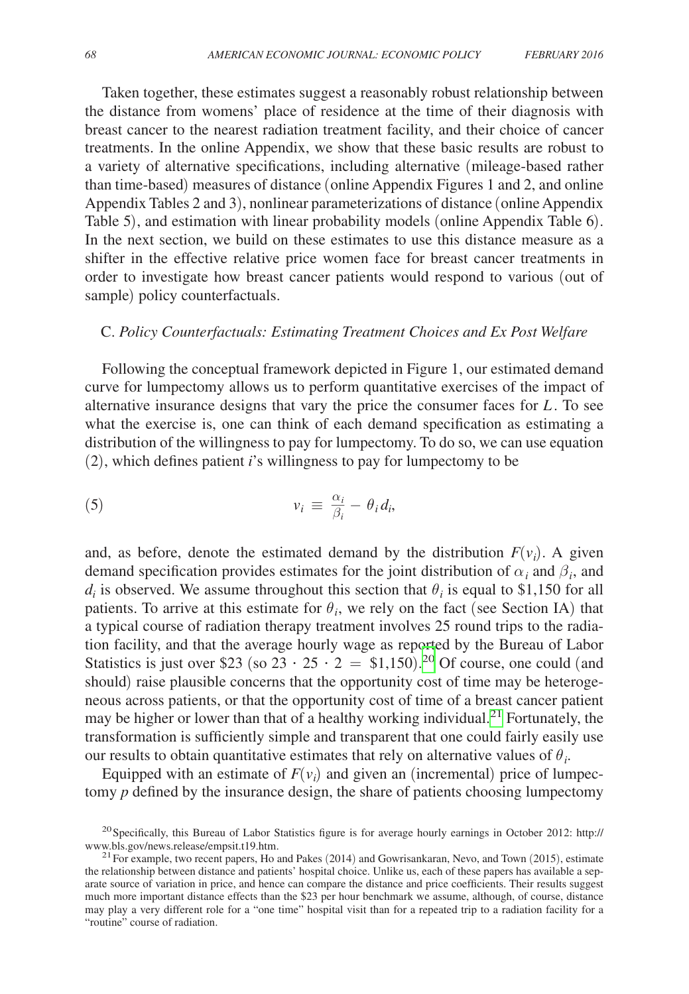Taken together, these estimates suggest a reasonably robust relationship between the distance from womens' place of residence at the time of their diagnosis with breast cancer to the nearest radiation treatment facility, and their choice of cancer treatments. In the online Appendix, we show that these basic results are robust to a variety of alternative specifications, including alternative (mileage-based rather than time-based) measures of distance (online Appendix Figures 1 and 2, and online Appendix Tables 2 and 3), nonlinear parameterizations of distance (online Appendix Table 5), and estimation with linear probability models (online Appendix Table 6). In the next section, we build on these estimates to use this distance measure as a shifter in the effective relative price women face for breast cancer treatments in order to investigate how breast cancer patients would respond to various (out of sample) policy counterfactuals.

## C. *Policy Counterfactuals: Estimating Treatment Choices and Ex Post Welfare*

Following the conceptual framework depicted in Figure 1, our estimated demand curve for lumpectomy allows us to perform quantitative exercises of the impact of alternative insurance designs that vary the price the consumer faces for *L*. To see what the exercise is, one can think of each demand specification as estimating a distribution of the willingness to pay for lumpectomy. To do so, we can use equation (2), which defines patient *i*'s willingness to pay for lumpectomy to be

(5) 
$$
v_i \equiv \frac{\alpha_i}{\beta_i} - \theta_i d_i,
$$

and, as before, denote the estimated demand by the distribution  $F(v_i)$ . A given demand specification provides estimates for the joint distribution of  $\alpha_i$  and  $\beta_i$ , and  $d_i$  is observed. We assume throughout this section that  $\theta_i$  is equal to \$1,150 for all patients. To arrive at this estimate for  $\theta_i$ , we rely on the fact (see Section IA) that a typical course of radiation therapy treatment involves 25 round trips to the radiation facility, and that the average hourly wage as reported by the Bureau of Labor Statistics is just over \$23 (so  $23 \cdot 25 \cdot 2 = $1,150$ ).<sup>20</sup> Of course, one could (and should) raise plausible concerns that the opportunity cost of time may be heterogeneous across patients, or that the opportunity cost of time of a breast cancer patient may be higher or lower than that of a healthy working individual.<sup>21</sup> Fortunately, the transformation is sufficiently simple and transparent that one could fairly easily use our results to obtain quantitative estimates that rely on alternative values of  $\theta_i$ .

Equipped with an estimate of  $F(v_i)$  and given an (incremental) price of lumpectomy *p* defined by the insurance design, the share of patients choosing lumpectomy

<span id="page-16-0"></span><sup>&</sup>lt;sup>20</sup>Specifically, this Bureau of Labor Statistics figure is for average hourly earnings in October 2012: http:// www.bls.gov/news.release/empsit.t19.htm.

<span id="page-16-1"></span><sup>&</sup>lt;sup>21</sup> For example, two recent papers, Ho and Pakes (2014) and Gowrisankaran, Nevo, and Town (2015), estimate the relationship between distance and patients' hospital choice. Unlike us, each of these papers has available a separate source of variation in price, and hence can compare the distance and price coefficients. Their results suggest much more important distance effects than the \$23 per hour benchmark we assume, although, of course, distance may play a very different role for a "one time" hospital visit than for a repeated trip to a radiation facility for a "routine" course of radiation.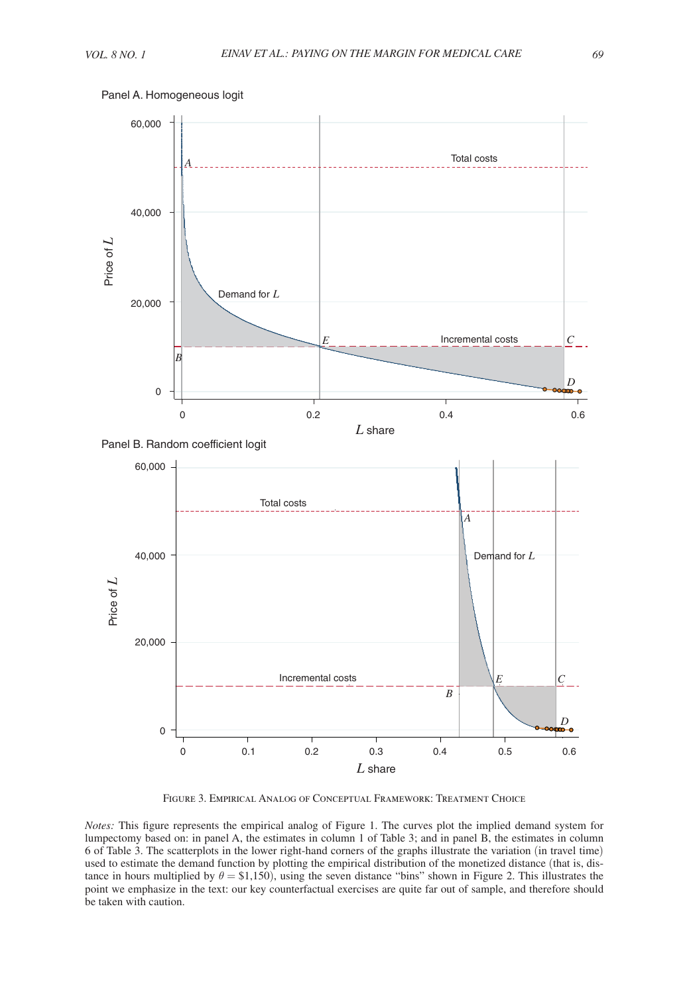<span id="page-17-0"></span>

Panel A. Homogeneous logit





Figure 3. Empirical Analog of Conceptual Framework: Treatment Choice

*Notes:* This figure represents the empirical analog of Figure 1. The curves plot the implied demand system for lumpectomy based on: in panel A, the estimates in column 1 of Table 3; and in panel B, the estimates in column 6 of Table 3. The scatterplots in the lower right-hand corners of the graphs illustrate the variation (in travel time) used to estimate the demand function by plotting the empirical distribution of the monetized distance (that is, distance in hours multiplied by θ = \$1,150), using the seven distance "bins" shown in Figure 2. This illustrates the point we emphasize in the text: our key counterfactual exercises are quite far out of sample, and therefore should be taken with caution.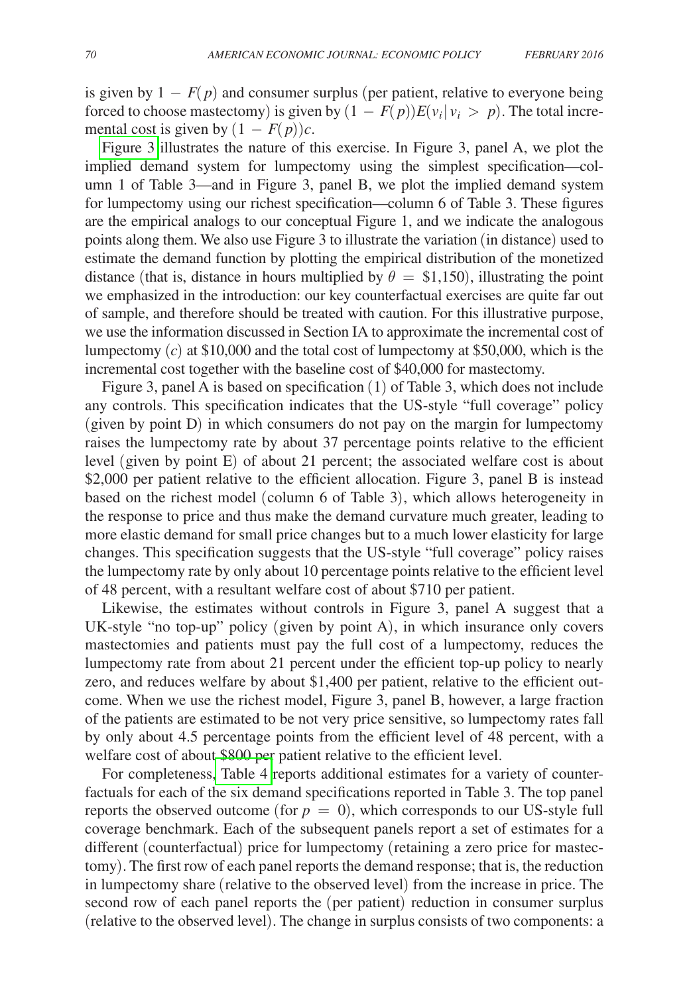is given by  $1 - F(p)$  and consumer surplus (per patient, relative to everyone being forced to choose mastectomy) is given by  $(1 - F(p))E(v_i|v_i > p)$ . The total incremental cost is given by  $(1 - F(p))c$ .

[Figure 3](#page-17-0) illustrates the nature of this exercise. In Figure 3, panel A, we plot the implied demand system for lumpectomy using the simplest specification—column 1 of Table 3—and in Figure 3, panel B, we plot the implied demand system for lumpectomy using our richest specification—column 6 of Table 3. These figures are the empirical analogs to our conceptual Figure 1, and we indicate the analogous points along them. We also use Figure 3 to illustrate the variation (in distance) used to estimate the demand function by plotting the empirical distribution of the monetized distance (that is, distance in hours multiplied by  $\theta =$  \$1,150), illustrating the point we emphasized in the introduction: our key counterfactual exercises are quite far out of sample, and therefore should be treated with caution. For this illustrative purpose, we use the information discussed in Section IA to approximate the incremental cost of lumpectomy (*c*) at \$10,000 and the total cost of lumpectomy at \$50,000, which is the incremental cost together with the baseline cost of \$40,000 for mastectomy.

Figure 3, panel A is based on specification (1) of Table 3, which does not include any controls. This specification indicates that the US-style "full coverage" policy (given by point D) in which consumers do not pay on the margin for lumpectomy raises the lumpectomy rate by about 37 percentage points relative to the efficient level (given by point E) of about 21 percent; the associated welfare cost is about \$2,000 per patient relative to the efficient allocation. Figure 3, panel B is instead based on the richest model (column 6 of Table 3), which allows heterogeneity in the response to price and thus make the demand curvature much greater, leading to more elastic demand for small price changes but to a much lower elasticity for large changes. This specification suggests that the US-style "full coverage" policy raises the lumpectomy rate by only about 10 percentage points relative to the efficient level of 48 percent, with a resultant welfare cost of about \$710 per patient.

Likewise, the estimates without controls in Figure 3, panel A suggest that a UK-style "no top-up" policy (given by point A), in which insurance only covers mastectomies and patients must pay the full cost of a lumpectomy, reduces the lumpectomy rate from about 21 percent under the efficient top-up policy to nearly zero, and reduces welfare by about \$1,400 per patient, relative to the efficient outcome. When we use the richest model, Figure 3, panel B, however, a large fraction of the patients are estimated to be not very price sensitive, so lumpectomy rates fall by only about 4.5 percentage points from the efficient level of 48 percent, with a welfare cost of about \$800 per patient relative to the efficient level.

For completeness[, Table 4](#page-19-0) reports additional estimates for a variety of counterfactuals for each of the six demand specifications reported in Table 3. The top panel reports the observed outcome (for  $p = 0$ ), which corresponds to our US-style full coverage benchmark. Each of the subsequent panels report a set of estimates for a different (counterfactual) price for lumpectomy (retaining a zero price for mastectomy). The first row of each panel reports the demand response; that is, the reduction in lumpectomy share (relative to the observed level) from the increase in price. The second row of each panel reports the (per patient) reduction in consumer surplus (relative to the observed level). The change in surplus consists of two components: a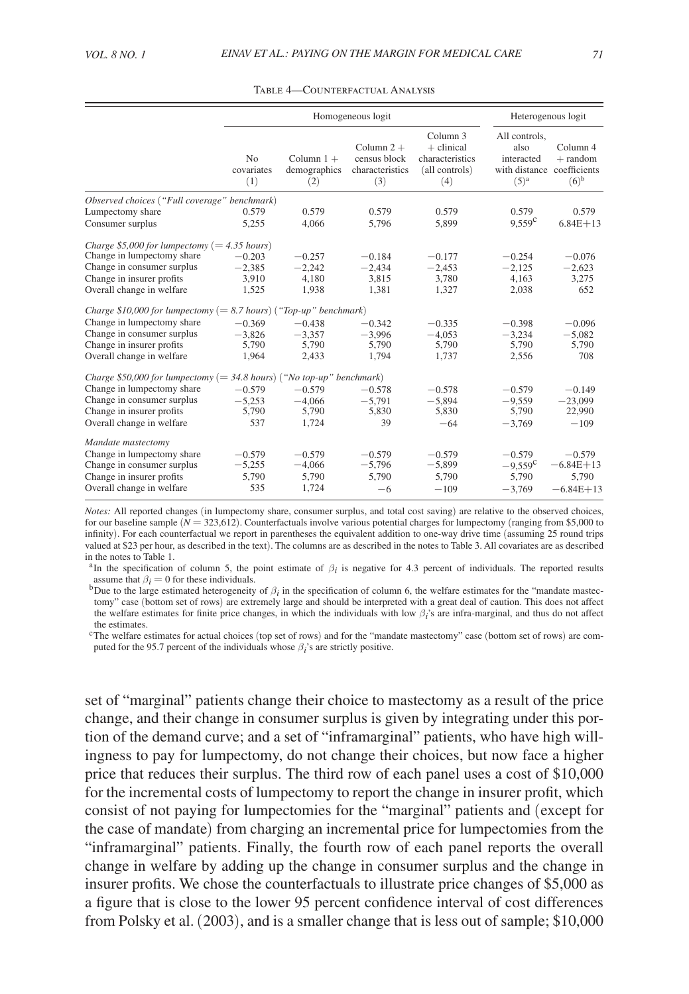<span id="page-19-0"></span>

|                                                                       | Homogeneous logit                   |                                     |                                                        |                                                                      | Heterogenous logit                                              |                                                   |
|-----------------------------------------------------------------------|-------------------------------------|-------------------------------------|--------------------------------------------------------|----------------------------------------------------------------------|-----------------------------------------------------------------|---------------------------------------------------|
|                                                                       | N <sub>o</sub><br>covariates<br>(1) | Column $1 +$<br>demographics<br>(2) | Column $2 +$<br>census block<br>characteristics<br>(3) | Column 3<br>$+$ clinical<br>characteristics<br>(all controls)<br>(4) | All controls,<br>also<br>interacted<br>with distance<br>$(5)^a$ | Column 4<br>$+$ random<br>coefficients<br>$(6)^b$ |
| Observed choices ("Full coverage" benchmark)                          |                                     |                                     |                                                        |                                                                      |                                                                 |                                                   |
| Lumpectomy share                                                      | 0.579                               | 0.579                               | 0.579                                                  | 0.579                                                                | 0.579                                                           | 0.579                                             |
| Consumer surplus                                                      | 5,255                               | 4,066                               | 5,796                                                  | 5,899                                                                | $9,559^{\circ}$                                                 | $6.84E + 13$                                      |
| Charge \$5,000 for lumpectomy (= $4.35$ hours)                        |                                     |                                     |                                                        |                                                                      |                                                                 |                                                   |
| Change in lumpectomy share                                            | $-0.203$                            | $-0.257$                            | $-0.184$                                               | $-0.177$                                                             | $-0.254$                                                        | $-0.076$                                          |
| Change in consumer surplus                                            | $-2,385$                            | $-2,242$                            | $-2,434$                                               | $-2,453$                                                             | $-2,125$                                                        | $-2,623$                                          |
| Change in insurer profits                                             | 3,910                               | 4,180                               | 3,815                                                  | 3,780                                                                | 4,163                                                           | 3,275                                             |
| Overall change in welfare                                             | 1,525                               | 1,938                               | 1,381                                                  | 1,327                                                                | 2,038                                                           | 652                                               |
| Charge \$10,000 for lumpectomy (= 8.7 hours) ("Top-up" benchmark)     |                                     |                                     |                                                        |                                                                      |                                                                 |                                                   |
| Change in lumpectomy share                                            | $-0.369$                            | $-0.438$                            | $-0.342$                                               | $-0.335$                                                             | $-0.398$                                                        | $-0.096$                                          |
| Change in consumer surplus                                            | $-3.826$                            | $-3.357$                            | $-3.996$                                               | $-4.053$                                                             | $-3.234$                                                        | $-5.082$                                          |
| Change in insurer profits                                             | 5,790                               | 5,790                               | 5,790                                                  | 5,790                                                                | 5,790                                                           | 5,790                                             |
| Overall change in welfare                                             | 1,964                               | 2,433                               | 1,794                                                  | 1,737                                                                | 2,556                                                           | 708                                               |
| Charge \$50,000 for lumpectomy (= 34.8 hours) ("No top-up" benchmark) |                                     |                                     |                                                        |                                                                      |                                                                 |                                                   |
| Change in lumpectomy share                                            | $-0.579$                            | $-0.579$                            | $-0.578$                                               | $-0.578$                                                             | $-0.579$                                                        | $-0.149$                                          |
| Change in consumer surplus                                            | $-5,253$                            | $-4,066$                            | $-5,791$                                               | $-5,894$                                                             | $-9,559$                                                        | $-23,099$                                         |
| Change in insurer profits                                             | 5,790                               | 5,790                               | 5,830                                                  | 5,830                                                                | 5,790                                                           | 22,990                                            |
| Overall change in welfare                                             | 537                                 | 1,724                               | 39                                                     | $-64$                                                                | $-3.769$                                                        | $-109$                                            |
| Mandate mastectomy                                                    |                                     |                                     |                                                        |                                                                      |                                                                 |                                                   |
| Change in lumpectomy share                                            | $-0.579$                            | $-0.579$                            | $-0.579$                                               | $-0.579$                                                             | $-0.579$                                                        | $-0.579$                                          |
| Change in consumer surplus                                            | $-5,255$                            | $-4,066$                            | $-5,796$                                               | $-5,899$                                                             | $-9,559^{\circ}$                                                | $-6.84E+13$                                       |
| Change in insurer profits                                             | 5,790                               | 5,790                               | 5.790                                                  | 5,790                                                                | 5,790                                                           | 5,790                                             |
| Overall change in welfare                                             | 535                                 | 1,724                               | $-6$                                                   | $-109$                                                               | $-3,769$                                                        | $-6.84E+13$                                       |

| TABLE 4-COUNTERFACTUAL ANALYSIS |  |
|---------------------------------|--|
|---------------------------------|--|

*Notes:* All reported changes (in lumpectomy share, consumer surplus, and total cost saving) are relative to the observed choices, for our baseline sample  $(N = 323,612)$ . Counterfactuals involve various potential charges for lumpectomy (ranging from \$5,000 to infinity). For each counterfactual we report in parentheses the equivalent addition to one-way drive time (assuming 25 round trips valued at \$23 per hour, as described in the text). The columns are as described in the notes to Table 3. All covariates are as described in the notes to Table 1.

<sup>a</sup>In the specification of column 5, the point estimate of  $\beta_i$  is negative for 4.3 percent of individuals. The reported results assume that  $\beta_i = 0$  for these individuals.

<sup>b</sup>Due to the large estimated heterogeneity of  $\beta_i$  in the specification of column 6, the welfare estimates for the "mandate mastectomy" case (bottom set of rows) are extremely large and should be interpreted with a great deal of caution. This does not affect the welfare estimates for finite price changes, in which the individuals with low β*i*'s are infra-marginal, and thus do not affect the estimates.

c The welfare estimates for actual choices (top set of rows) and for the "mandate mastectomy" case (bottom set of rows) are computed for the 95.7 percent of the individuals whose  $\beta_i$ 's are strictly positive.

set of "marginal" patients change their choice to mastectomy as a result of the price change, and their change in consumer surplus is given by integrating under this portion of the demand curve; and a set of "inframarginal" patients, who have high willingness to pay for lumpectomy, do not change their choices, but now face a higher price that reduces their surplus. The third row of each panel uses a cost of \$10,000 for the incremental costs of lumpectomy to report the change in insurer profit, which consist of not paying for lumpectomies for the "marginal" patients and (except for the case of mandate) from charging an incremental price for lumpectomies from the "inframarginal" patients. Finally, the fourth row of each panel reports the overall change in welfare by adding up the change in consumer surplus and the change in insurer profits. We chose the counterfactuals to illustrate price changes of \$5,000 as a figure that is close to the lower 95 percent confidence interval of cost differences from Polsky et al. (2003), and is a smaller change that is less out of sample; \$10,000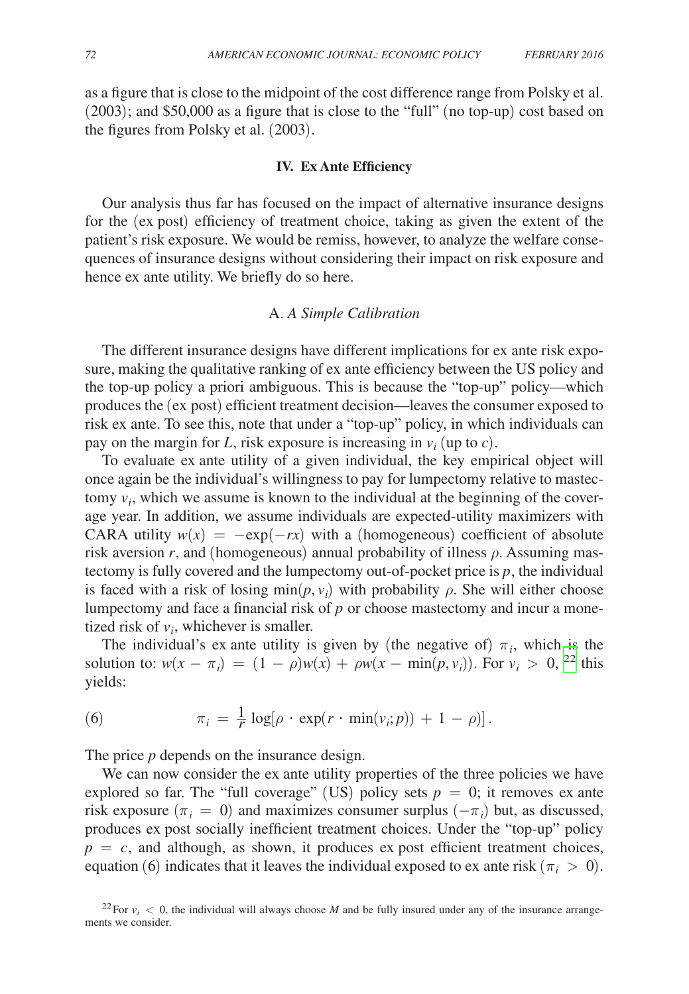as a figure that is close to the midpoint of the cost difference range from Polsky et al. (2003); and \$50,000 as a figure that is close to the "full" (no top-up) cost based on the figures from Polsky et al. (2003).

#### **IV. Ex Ante Efficiency**

Our analysis thus far has focused on the impact of alternative insurance designs for the (ex post) efficiency of treatment choice, taking as given the extent of the patient's risk exposure. We would be remiss, however, to analyze the welfare consequences of insurance designs without considering their impact on risk exposure and hence ex ante utility. We briefly do so here.

## A. *A Simple Calibration*

The different insurance designs have different implications for ex ante risk exposure, making the qualitative ranking of ex ante efficiency between the US policy and the top-up policy a priori ambiguous. This is because the "top-up" policy—which produces the (ex post) efficient treatment decision—leaves the consumer exposed to risk ex ante. To see this, note that under a "top-up" policy, in which individuals can pay on the margin for *L*, risk exposure is increasing in  $v_i$  (up to *c*).

To evaluate ex ante utility of a given individual, the key empirical object will once again be the individual's willingness to pay for lumpectomy relative to mastectomy  $v_i$ , which we assume is known to the individual at the beginning of the coverage year. In addition, we assume individuals are expected-utility maximizers with CARA utility  $w(x) = -\exp(-rx)$  with a (homogeneous) coefficient of absolute risk aversion  $r$ , and (homogeneous) annual probability of illness  $\rho$ . Assuming mastectomy is fully covered and the lumpectomy out-of-pocket price is  $p$ , the individual is faced with a risk of losing  $\min(p, v_i)$  with probability  $\rho$ . She will either choose lumpectomy and face a financial risk of *p* or choose mastectomy and incur a monetized risk of  $v_i$ , whichever is smaller.

The individual's ex ante utility is given by (the negative of)  $\pi_i$ , which is the solution to:  $w(x - \pi_i) = (1 - \rho)w(x) + \rho w(x - \min(p, v_i))$ . For  $v_i > 0$ , <sup>22</sup> this yields:

(6) 
$$
\pi_i = \frac{1}{r} \log[\rho \cdot \exp(r \cdot \min(v_i; p)) + 1 - \rho)].
$$

The price *p* depends on the insurance design.

We can now consider the ex ante utility properties of the three policies we have explored so far. The "full coverage" (US) policy sets  $p = 0$ ; it removes ex ante risk exposure ( $\pi_i = 0$ ) and maximizes consumer surplus ( $-\pi_i$ ) but, as discussed, produces ex post socially inefficient treatment choices. Under the "top-up" policy  $p = c$ , and although, as shown, it produces ex post efficient treatment choices, equation (6) indicates that it leaves the individual exposed to ex ante risk ( $\pi$ <sub>*i*</sub> > 0).

<span id="page-20-0"></span><sup>&</sup>lt;sup>22</sup>For  $v_i$  < 0, the individual will always choose *M* and be fully insured under any of the insurance arrangements we consider.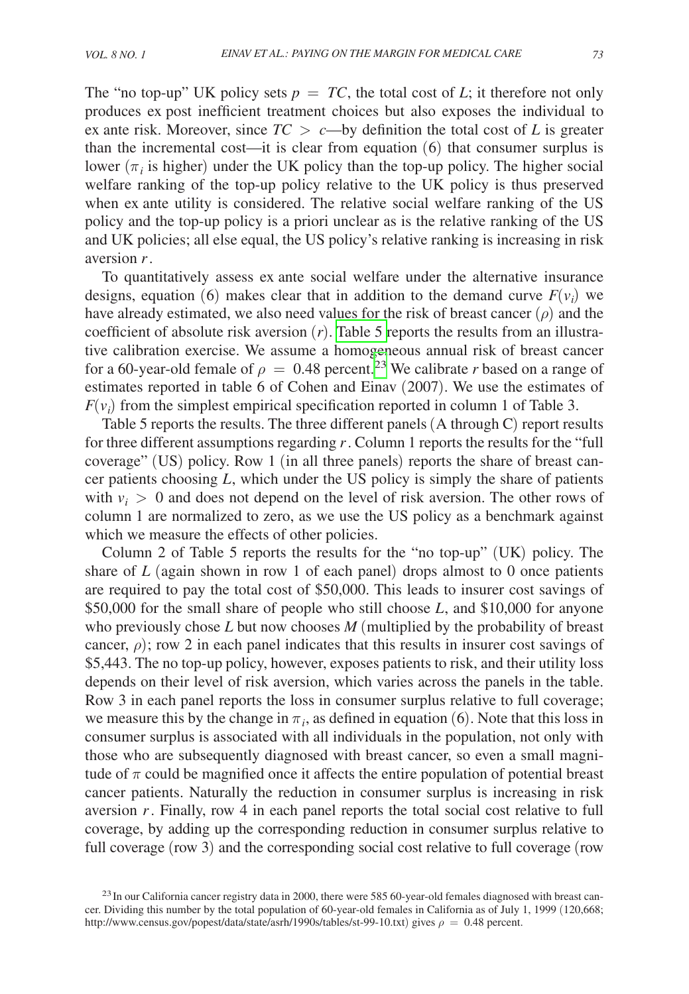The "no top-up" UK policy sets  $p = TC$ , the total cost of L; it therefore not only produces ex post inefficient treatment choices but also exposes the individual to ex ante risk. Moreover, since  $TC > c$ —by definition the total cost of *L* is greater than the incremental cost—it is clear from equation (6) that consumer surplus is lower ( $\pi$ <sub>i</sub> is higher) under the UK policy than the top-up policy. The higher social welfare ranking of the top-up policy relative to the UK policy is thus preserved when ex ante utility is considered. The relative social welfare ranking of the US policy and the top-up policy is a priori unclear as is the relative ranking of the US and UK policies; all else equal, the US policy's relative ranking is increasing in risk aversion *r*.

To quantitatively assess ex ante social welfare under the alternative insurance designs, equation (6) makes clear that in addition to the demand curve  $F(v_i)$  we have already estimated, we also need values for the risk of breast cancer  $(\rho)$  and the coefficient of absolute risk aversion (*r*). [Table 5 r](#page-22-0)eports the results from an illustrative calibration exercise. We assume a homogeneous annual risk of breast cancer for a 60-year-old female of  $\rho = 0.48$  percent.<sup>23</sup> We calibrate *r* based on a range of estimates reported in table 6 of Cohen and Einav (2007). We use the estimates of  $F(v_i)$  from the simplest empirical specification reported in column 1 of Table 3.

Table 5 reports the results. The three different panels (A through C) report results for three different assumptions regarding *r*. Column 1 reports the results for the "full coverage" (US) policy. Row 1 (in all three panels) reports the share of breast cancer patients choosing *L*, which under the US policy is simply the share of patients with  $v_i > 0$  and does not depend on the level of risk aversion. The other rows of column 1 are normalized to zero, as we use the US policy as a benchmark against which we measure the effects of other policies.

Column 2 of Table 5 reports the results for the "no top-up" (UK) policy. The share of *L* (again shown in row 1 of each panel) drops almost to 0 once patients are required to pay the total cost of \$50,000. This leads to insurer cost savings of \$50,000 for the small share of people who still choose *L*, and \$10,000 for anyone who previously chose *L* but now chooses *M* (multiplied by the probability of breast cancer,  $\rho$ ); row 2 in each panel indicates that this results in insurer cost savings of \$5,443. The no top-up policy, however, exposes patients to risk, and their utility loss depends on their level of risk aversion, which varies across the panels in the table. Row 3 in each panel reports the loss in consumer surplus relative to full coverage; we measure this by the change in  $\pi_i$ , as defined in equation (6). Note that this loss in consumer surplus is associated with all individuals in the population, not only with those who are subsequently diagnosed with breast cancer, so even a small magnitude of  $\pi$  could be magnified once it affects the entire population of potential breast cancer patients. Naturally the reduction in consumer surplus is increasing in risk aversion *r*. Finally, row 4 in each panel reports the total social cost relative to full coverage, by adding up the corresponding reduction in consumer surplus relative to full coverage (row 3) and the corresponding social cost relative to full coverage (row

<span id="page-21-0"></span> $^{23}$  In our California cancer registry data in 2000, there were 585 60-year-old females diagnosed with breast cancer. Dividing this number by the total population of 60-year-old females in California as of July 1, 1999 (120,668; http://www.census.gov/popest/data/state/asrh/1990s/tables/st-99-10.txt) gives  $\rho = 0.48$  percent.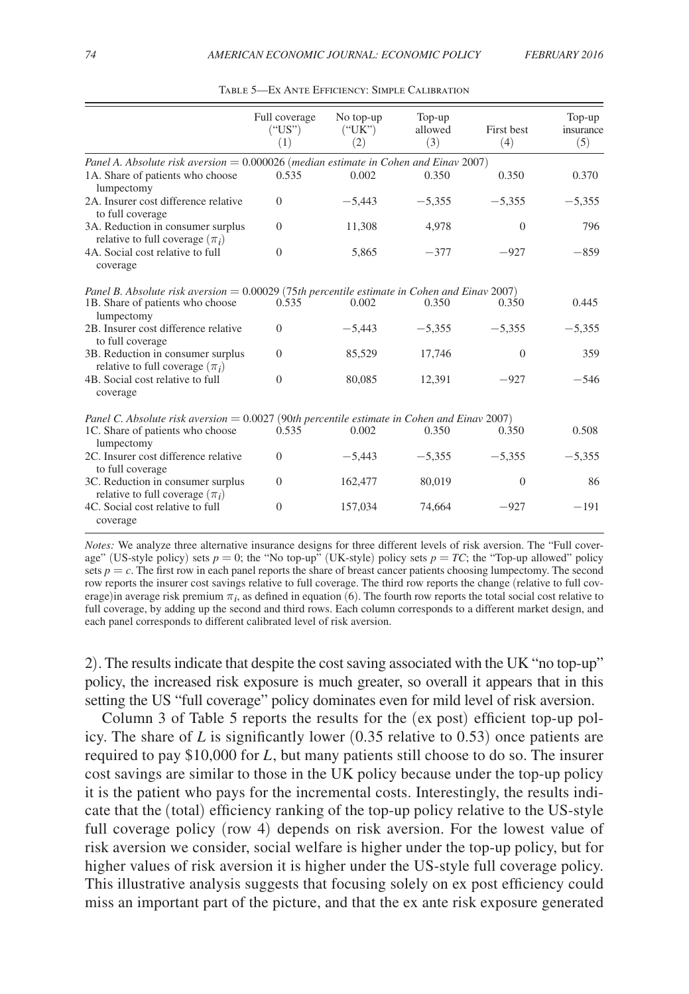<span id="page-22-0"></span>

|                                                                                                | Full coverage<br>("US")<br>(1) | No top-up<br>("UK")<br>(2) | Top-up<br>allowed<br>(3) | First best<br>(4) | Top-up<br>insurance<br>(5) |
|------------------------------------------------------------------------------------------------|--------------------------------|----------------------------|--------------------------|-------------------|----------------------------|
| Panel A. Absolute risk aversion $= 0.000026$ (median estimate in Cohen and Einav 2007)         |                                |                            |                          |                   |                            |
| 1A. Share of patients who choose<br>lumpectomy                                                 | 0.535                          | 0.002                      | 0.350                    | 0.350             | 0.370                      |
| 2A. Insurer cost difference relative<br>to full coverage                                       | $\Omega$                       | $-5.443$                   | $-5.355$                 | $-5.355$          | $-5,355$                   |
| 3A. Reduction in consumer surplus<br>relative to full coverage $(\pi_i)$                       | $\Omega$                       | 11,308                     | 4.978                    | $\Omega$          | 796                        |
| 4A. Social cost relative to full<br>coverage                                                   | $\Omega$                       | 5,865                      | $-377$                   | $-927$            | $-859$                     |
| Panel B. Absolute risk aversion $= 0.00029$ (75th percentile estimate in Cohen and Einav 2007) |                                |                            |                          |                   |                            |
| 1B. Share of patients who choose<br>lumpectomy                                                 | 0.535                          | 0.002                      | 0.350                    | 0.350             | 0.445                      |
| 2B. Insurer cost difference relative<br>to full coverage                                       | $\Omega$                       | $-5,443$                   | $-5,355$                 | $-5,355$          | $-5,355$                   |
| 3B. Reduction in consumer surplus<br>relative to full coverage $(\pi_i)$                       | $\Omega$                       | 85,529                     | 17,746                   | $\Omega$          | 359                        |
| 4B. Social cost relative to full<br>coverage                                                   | $\Omega$                       | 80,085                     | 12,391                   | $-927$            | $-546$                     |
| Panel C. Absolute risk aversion $= 0.0027$ (90th percentile estimate in Cohen and Einav 2007)  |                                |                            |                          |                   |                            |
| 1C. Share of patients who choose<br>lumpectomy                                                 | 0.535                          | 0.002                      | 0.350                    | 0.350             | 0.508                      |
| 2C. Insurer cost difference relative<br>to full coverage                                       | $\Omega$                       | $-5,443$                   | $-5,355$                 | $-5,355$          | $-5,355$                   |
| 3C. Reduction in consumer surplus<br>relative to full coverage $(\pi_i)$                       | $\Omega$                       | 162,477                    | 80,019                   | $\Omega$          | 86                         |
| 4C. Social cost relative to full<br>coverage                                                   | $\Omega$                       | 157,034                    | 74,664                   | $-927$            | $-191$                     |

Table 5—Ex Ante Efficiency: Simple Calibration

*Notes:* We analyze three alternative insurance designs for three different levels of risk aversion. The "Full coverage" (US-style policy) sets  $p = 0$ ; the "No top-up" (UK-style) policy sets  $p = TC$ ; the "Top-up allowed" policy sets *p* = *c*. The first row in each panel reports the share of breast cancer patients choosing lumpectomy. The second row reports the insurer cost savings relative to full coverage. The third row reports the change (relative to full coverage)in average risk premium  $\pi_i$ , as defined in equation (6). The fourth row reports the total social cost relative to full coverage, by adding up the second and third rows. Each column corresponds to a different market design, and each panel corresponds to different calibrated level of risk aversion.

2). The results indicate that despite the cost saving associated with the UK "no top-up" policy, the increased risk exposure is much greater, so overall it appears that in this setting the US "full coverage" policy dominates even for mild level of risk aversion.

Column 3 of Table 5 reports the results for the (ex post) efficient top-up policy. The share of *L* is significantly lower (0.35 relative to 0.53) once patients are required to pay \$10,000 for *L*, but many patients still choose to do so. The insurer cost savings are similar to those in the UK policy because under the top-up policy it is the patient who pays for the incremental costs. Interestingly, the results indicate that the (total) efficiency ranking of the top-up policy relative to the US-style full coverage policy (row 4) depends on risk aversion. For the lowest value of risk aversion we consider, social welfare is higher under the top-up policy, but for higher values of risk aversion it is higher under the US-style full coverage policy. This illustrative analysis suggests that focusing solely on ex post efficiency could miss an important part of the picture, and that the ex ante risk exposure generated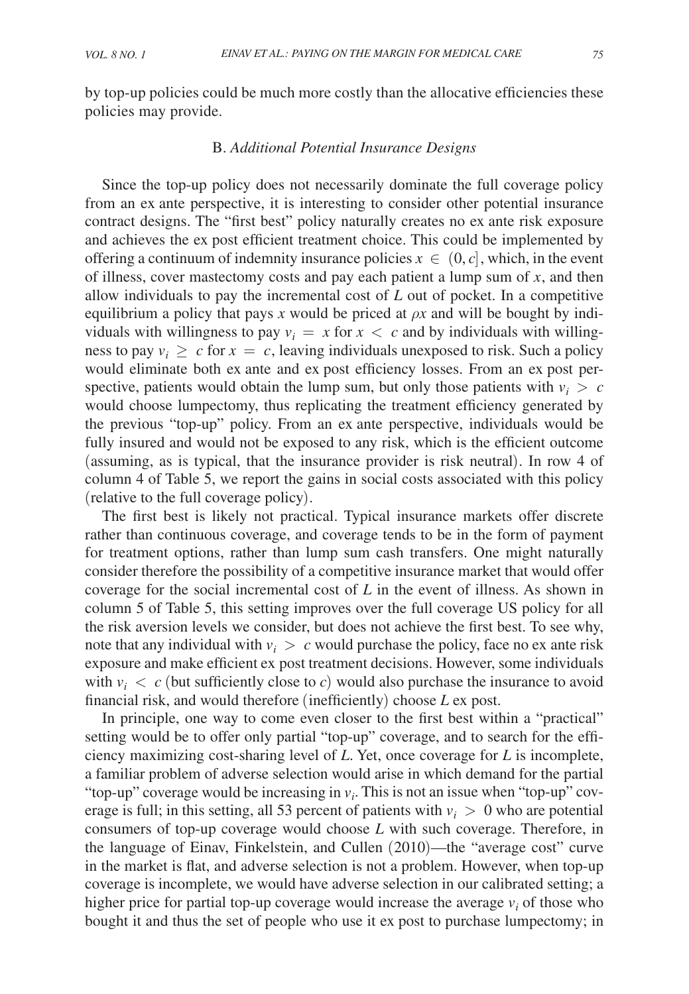by top-up policies could be much more costly than the allocative efficiencies these policies may provide.

## B. *Additional Potential Insurance Designs*

Since the top-up policy does not necessarily dominate the full coverage policy from an ex ante perspective, it is interesting to consider other potential insurance contract designs. The "first best" policy naturally creates no ex ante risk exposure and achieves the ex post efficient treatment choice. This could be implemented by offering a continuum of indemnity insurance policies  $x \in (0, c]$ , which, in the event of illness, cover mastectomy costs and pay each patient a lump sum of *x*, and then allow individuals to pay the incremental cost of *L* out of pocket. In a competitive equilibrium a policy that pays *x* would be priced at  $\rho x$  and will be bought by individuals with willingness to pay  $v_i = x$  for  $x < c$  and by individuals with willingness to pay  $v_i \geq c$  for  $x = c$ , leaving individuals unexposed to risk. Such a policy would eliminate both ex ante and ex post efficiency losses. From an ex post perspective, patients would obtain the lump sum, but only those patients with  $v_i > c$ would choose lumpectomy, thus replicating the treatment efficiency generated by the previous "top-up" policy. From an ex ante perspective, individuals would be fully insured and would not be exposed to any risk, which is the efficient outcome (assuming, as is typical, that the insurance provider is risk neutral). In row 4 of column 4 of Table 5, we report the gains in social costs associated with this policy (relative to the full coverage policy).

The first best is likely not practical. Typical insurance markets offer discrete rather than continuous coverage, and coverage tends to be in the form of payment for treatment options, rather than lump sum cash transfers. One might naturally consider therefore the possibility of a competitive insurance market that would offer coverage for the social incremental cost of *L* in the event of illness. As shown in column 5 of Table 5, this setting improves over the full coverage US policy for all the risk aversion levels we consider, but does not achieve the first best. To see why, note that any individual with  $v_i > c$  would purchase the policy, face no ex ante risk exposure and make efficient ex post treatment decisions. However, some individuals with  $v_i < c$  (but sufficiently close to *c*) would also purchase the insurance to avoid financial risk, and would therefore (inefficiently) choose *L* ex post.

In principle, one way to come even closer to the first best within a "practical" setting would be to offer only partial "top-up" coverage, and to search for the efficiency maximizing cost-sharing level of *L*. Yet, once coverage for *L* is incomplete, a familiar problem of adverse selection would arise in which demand for the partial "top-up" coverage would be increasing in  $v_i$ . This is not an issue when "top-up" coverage is full; in this setting, all 53 percent of patients with  $v_i > 0$  who are potential consumers of top-up coverage would choose *L* with such coverage. Therefore, in the language of Einav, Finkelstein, and Cullen (2010)—the "average cost" curve in the market is flat, and adverse selection is not a problem. However, when top-up coverage is incomplete, we would have adverse selection in our calibrated setting; a higher price for partial top-up coverage would increase the average  $v_i$  of those who bought it and thus the set of people who use it ex post to purchase lumpectomy; in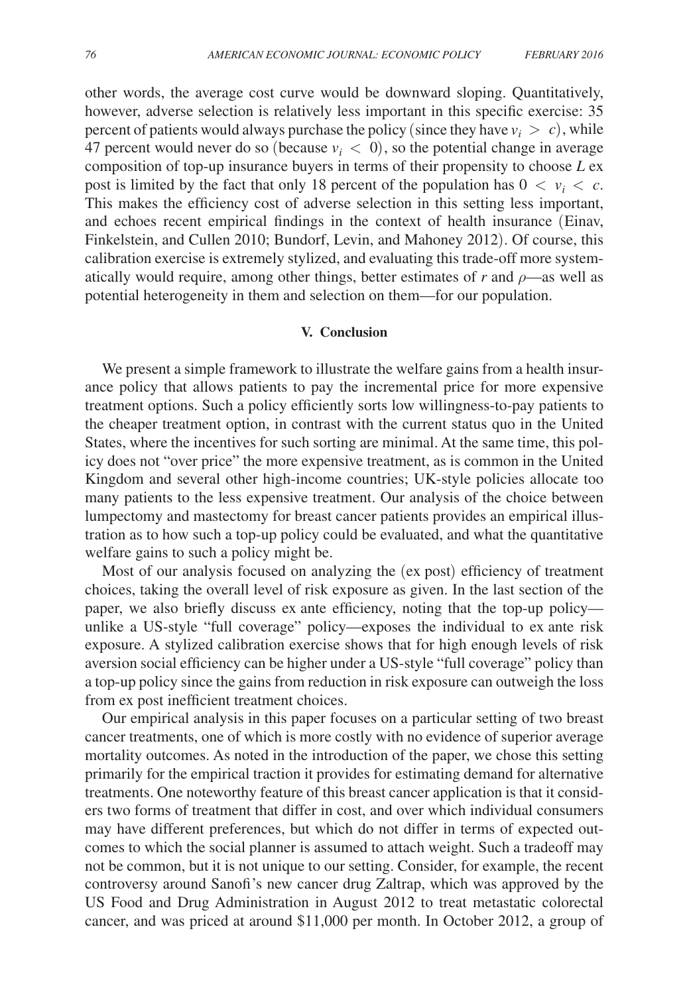other words, the average cost curve would be downward sloping. Quantitatively, however, adverse selection is relatively less important in this specific exercise: 35 percent of patients would always purchase the policy (since they have  $v_i > c$ ), while 47 percent would never do so (because  $v_i < 0$ ), so the potential change in average composition of top-up insurance buyers in terms of their propensity to choose *L* ex post is limited by the fact that only 18 percent of the population has  $0 < v_i < c$ . This makes the efficiency cost of adverse selection in this setting less important, and echoes recent empirical findings in the context of health insurance (Einav, Finkelstein, and Cullen 2010; Bundorf, Levin, and Mahoney 2012). Of course, this calibration exercise is extremely stylized, and evaluating this trade-off more systematically would require, among other things, better estimates of  $r$  and  $\rho$ —as well as potential heterogeneity in them and selection on them—for our population.

## **V. Conclusion**

We present a simple framework to illustrate the welfare gains from a health insurance policy that allows patients to pay the incremental price for more expensive treatment options. Such a policy efficiently sorts low willingness-to-pay patients to the cheaper treatment option, in contrast with the current status quo in the United States, where the incentives for such sorting are minimal. At the same time, this policy does not "over price" the more expensive treatment, as is common in the United Kingdom and several other high-income countries; UK-style policies allocate too many patients to the less expensive treatment. Our analysis of the choice between lumpectomy and mastectomy for breast cancer patients provides an empirical illustration as to how such a top-up policy could be evaluated, and what the quantitative welfare gains to such a policy might be.

Most of our analysis focused on analyzing the (ex post) efficiency of treatment choices, taking the overall level of risk exposure as given. In the last section of the paper, we also briefly discuss ex ante efficiency, noting that the top-up policy unlike a US-style "full coverage" policy—exposes the individual to ex ante risk exposure. A stylized calibration exercise shows that for high enough levels of risk aversion social efficiency can be higher under a US-style "full coverage" policy than a top-up policy since the gains from reduction in risk exposure can outweigh the loss from ex post inefficient treatment choices.

Our empirical analysis in this paper focuses on a particular setting of two breast cancer treatments, one of which is more costly with no evidence of superior average mortality outcomes. As noted in the introduction of the paper, we chose this setting primarily for the empirical traction it provides for estimating demand for alternative treatments. One noteworthy feature of this breast cancer application is that it considers two forms of treatment that differ in cost, and over which individual consumers may have different preferences, but which do not differ in terms of expected outcomes to which the social planner is assumed to attach weight. Such a tradeoff may not be common, but it is not unique to our setting. Consider, for example, the recent controversy around Sanofi's new cancer drug Zaltrap, which was approved by the US Food and Drug Administration in August 2012 to treat metastatic colorectal cancer, and was priced at around \$11,000 per month. In October 2012, a group of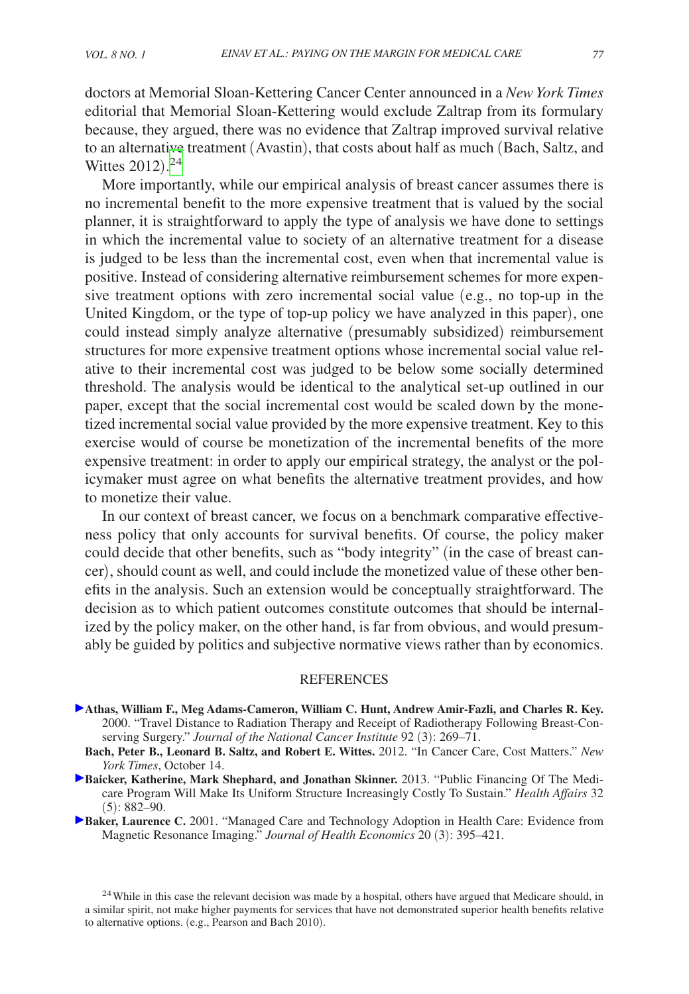doctors at Memorial Sloan-Kettering Cancer Center announced in a *New York Times* editorial that Memorial Sloan-Kettering would exclude Zaltrap from its formulary because, they argued, there was no evidence that Zaltrap improved survival relative to an alternative treatment (Avastin), that costs about half as much (Bach, Saltz, and Wittes 2012).<sup>[24](#page-25-0)</sup>

More importantly, while our empirical analysis of breast cancer assumes there is no incremental benefit to the more expensive treatment that is valued by the social planner, it is straightforward to apply the type of analysis we have done to settings in which the incremental value to society of an alternative treatment for a disease is judged to be less than the incremental cost, even when that incremental value is positive. Instead of considering alternative reimbursement schemes for more expensive treatment options with zero incremental social value (e.g., no top-up in the United Kingdom, or the type of top-up policy we have analyzed in this paper), one could instead simply analyze alternative (presumably subsidized) reimbursement structures for more expensive treatment options whose incremental social value relative to their incremental cost was judged to be below some socially determined threshold. The analysis would be identical to the analytical set-up outlined in our paper, except that the social incremental cost would be scaled down by the monetized incremental social value provided by the more expensive treatment. Key to this exercise would of course be monetization of the incremental benefits of the more expensive treatment: in order to apply our empirical strategy, the analyst or the policymaker must agree on what benefits the alternative treatment provides, and how to monetize their value.

In our context of breast cancer, we focus on a benchmark comparative effectiveness policy that only accounts for survival benefits. Of course, the policy maker could decide that other benefits, such as "body integrity" (in the case of breast cancer), should count as well, and could include the monetized value of these other benefits in the analysis. Such an extension would be conceptually straightforward. The decision as to which patient outcomes constitute outcomes that should be internalized by the policy maker, on the other hand, is far from obvious, and would presumably be guided by politics and subjective normative views rather than by economics.

#### **REFERENCES**

- **Athas, William F., Meg Adams-Cameron, William C. Hunt, Andrew Amir-Fazli, and Charles R. Key.**  2000. "Travel Distance to Radiation Therapy and Receipt of Radiotherapy Following Breast-Conserving Surgery." *Journal of the National Cancer Institute* 92 (3): 269–71.
- **Bach, Peter B., Leonard B. Saltz, and Robert E. Wittes.** 2012. "In Cancer Care, Cost Matters." *New York Times*, October 14.
- **Baicker, Katherine, Mark Shephard, and Jonathan Skinner.** 2013. "Public Financing Of The Medicare Program Will Make Its Uniform Structure Increasingly Costly To Sustain." *Health Affairs* 32 (5): 882–90.
- **Baker, Laurence C.** 2001. "Managed Care and Technology Adoption in Health Care: Evidence from Magnetic Resonance Imaging." *Journal of Health Economics* 20 (3): 395–421.

<span id="page-25-0"></span><sup>24</sup> While in this case the relevant decision was made by a hospital, others have argued that Medicare should, in a similar spirit, not make higher payments for services that have not demonstrated superior health benefits relative to alternative options. (e.g., Pearson and Bach 2010).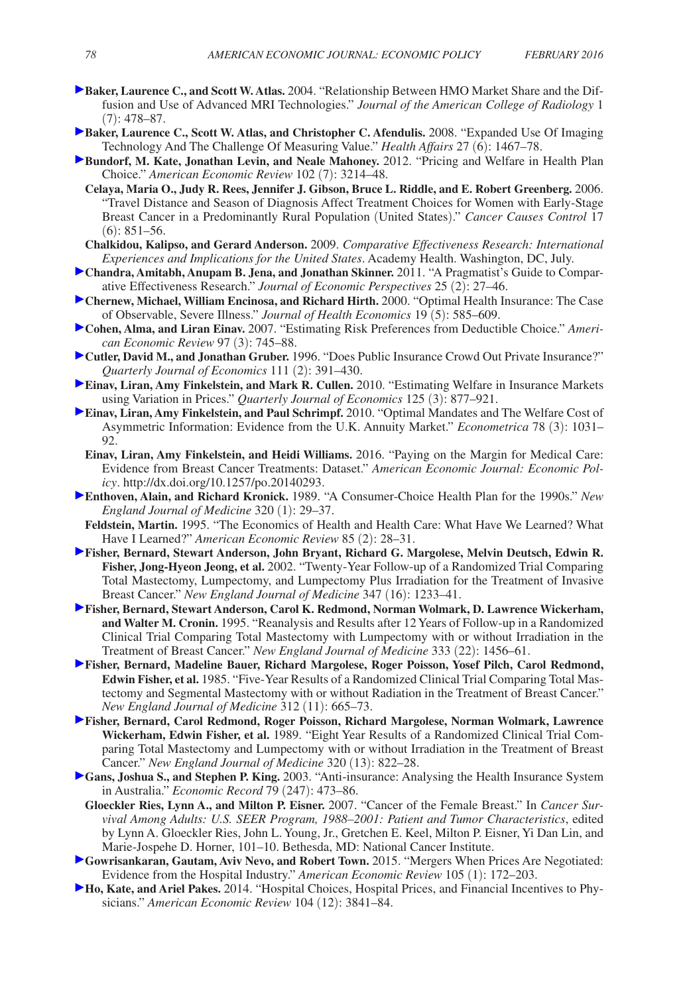- **Baker, Laurence C., and Scott W. Atlas.** 2004. "Relationship Between HMO Market Share and the Diffusion and Use of Advanced MRI Technologies." *Journal of the American College of Radiology* 1 (7): 478–87.
- **Baker, Laurence C., Scott W. Atlas, and Christopher C. Afendulis.** 2008. "Expanded Use Of Imaging Technology And The Challenge Of Measuring Value." *Health Affairs* 27 (6): 1467–78.
- **Bundorf, M. Kate, Jonathan Levin, and Neale Mahoney.** 2012. "Pricing and Welfare in Health Plan Choice." *American Economic Review* 102 (7): 3214–48.
- **Celaya, Maria O., Judy R. Rees, Jennifer J. Gibson, Bruce L. Riddle, and E. Robert Greenberg.** 2006. "Travel Distance and Season of Diagnosis Affect Treatment Choices for Women with Early-Stage Breast Cancer in a Predominantly Rural Population (United States)." *Cancer Causes Control* 17 (6): 851–56.
- **Chalkidou, Kalipso, and Gerard Anderson.** 2009. *Comparative Effectiveness Research: International Experiences and Implications for the United States*. Academy Health. Washington, DC, July.
- **Chandra, Amitabh, Anupam B. Jena, and Jonathan Skinner.** 2011. "A Pragmatist's Guide to Comparative Effectiveness Research." *Journal of Economic Perspectives* 25 (2): 27–46.
- **Chernew, Michael, William Encinosa, and Richard Hirth.** 2000. "Optimal Health Insurance: The Case of Observable, Severe Illness." *Journal of Health Economics* 19 (5): 585–609.
- **Cohen, Alma, and Liran Einav.** 2007. "Estimating Risk Preferences from Deductible Choice." *American Economic Review* 97 (3): 745–88.
- **Cutler, David M., and Jonathan Gruber.** 1996. "Does Public Insurance Crowd Out Private Insurance?" *Quarterly Journal of Economics* 111 (2): 391–430.
- **Einav, Liran, Amy Finkelstein, and Mark R. Cullen.** 2010. "Estimating Welfare in Insurance Markets using Variation in Prices." *Quarterly Journal of Economics* 125 (3): 877–921.
- **Einav, Liran, Amy Finkelstein, and Paul Schrimpf.** 2010. "Optimal Mandates and The Welfare Cost of Asymmetric Information: Evidence from the U.K. Annuity Market." *Econometrica* 78 (3): 1031– 92.
	- **Einav, Liran, Amy Finkelstein, and Heidi Williams.** 2016. "Paying on the Margin for Medical Care: Evidence from Breast Cancer Treatments: Dataset." *American Economic Journal: Economic Policy*. http://dx.doi.org/10.1257/po.20140293.
- **Enthoven, Alain, and Richard Kronick.** 1989. "A Consumer-Choice Health Plan for the 1990s." *New England Journal of Medicine* 320 (1): 29–37.
- **Feldstein, Martin.** 1995. "The Economics of Health and Health Care: What Have We Learned? What Have I Learned?" *American Economic Review* 85 (2): 28–31.
- **Fisher, Bernard, Stewart Anderson, John Bryant, Richard G. Margolese, Melvin Deutsch, Edwin R. Fisher, Jong-Hyeon Jeong, et al.** 2002. "Twenty-Year Follow-up of a Randomized Trial Comparing Total Mastectomy, Lumpectomy, and Lumpectomy Plus Irradiation for the Treatment of Invasive Breast Cancer." *New England Journal of Medicine* 347 (16): 1233–41.
- **Fisher, Bernard, Stewart Anderson, Carol K. Redmond, Norman Wolmark, D. Lawrence Wickerham, and Walter M. Cronin.** 1995. "Reanalysis and Results after 12 Years of Follow-up in a Randomized Clinical Trial Comparing Total Mastectomy with Lumpectomy with or without Irradiation in the Treatment of Breast Cancer." *New England Journal of Medicine* 333 (22): 1456–61.
- **Fisher, Bernard, Madeline Bauer, Richard Margolese, Roger Poisson, Yosef Pilch, Carol Redmond, Edwin Fisher, et al.** 1985. "Five-Year Results of a Randomized Clinical Trial Comparing Total Mastectomy and Segmental Mastectomy with or without Radiation in the Treatment of Breast Cancer." *New England Journal of Medicine* 312 (11): 665–73.
- **Fisher, Bernard, Carol Redmond, Roger Poisson, Richard Margolese, Norman Wolmark, Lawrence Wickerham, Edwin Fisher, et al.** 1989. "Eight Year Results of a Randomized Clinical Trial Comparing Total Mastectomy and Lumpectomy with or without Irradiation in the Treatment of Breast Cancer." *New England Journal of Medicine* 320 (13): 822–28.
- **Gans, Joshua S., and Stephen P. King.** 2003. "Anti-insurance: Analysing the Health Insurance System in Australia." *Economic Record* 79 (247): 473–86.
- **Gloeckler Ries, Lynn A., and Milton P. Eisner.** 2007. "Cancer of the Female Breast." In *Cancer Survival Among Adults: U.S. SEER Program, 1988–2001: Patient and Tumor Characteristics*, edited by Lynn A. Gloeckler Ries, John L. Young, Jr., Gretchen E. Keel, Milton P. Eisner, Yi Dan Lin, and Marie-Jospehe D. Horner, 101–10. Bethesda, MD: National Cancer Institute.
- **Gowrisankaran, Gautam, Aviv Nevo, and Robert Town.** 2015. "Mergers When Prices Are Negotiated: Evidence from the Hospital Industry." *American Economic Review* 105 (1): 172–203.
- **Ho, Kate, and Ariel Pakes.** 2014. "Hospital Choices, Hospital Prices, and Financial Incentives to Physicians." *American Economic Review* 104 (12): 3841–84.